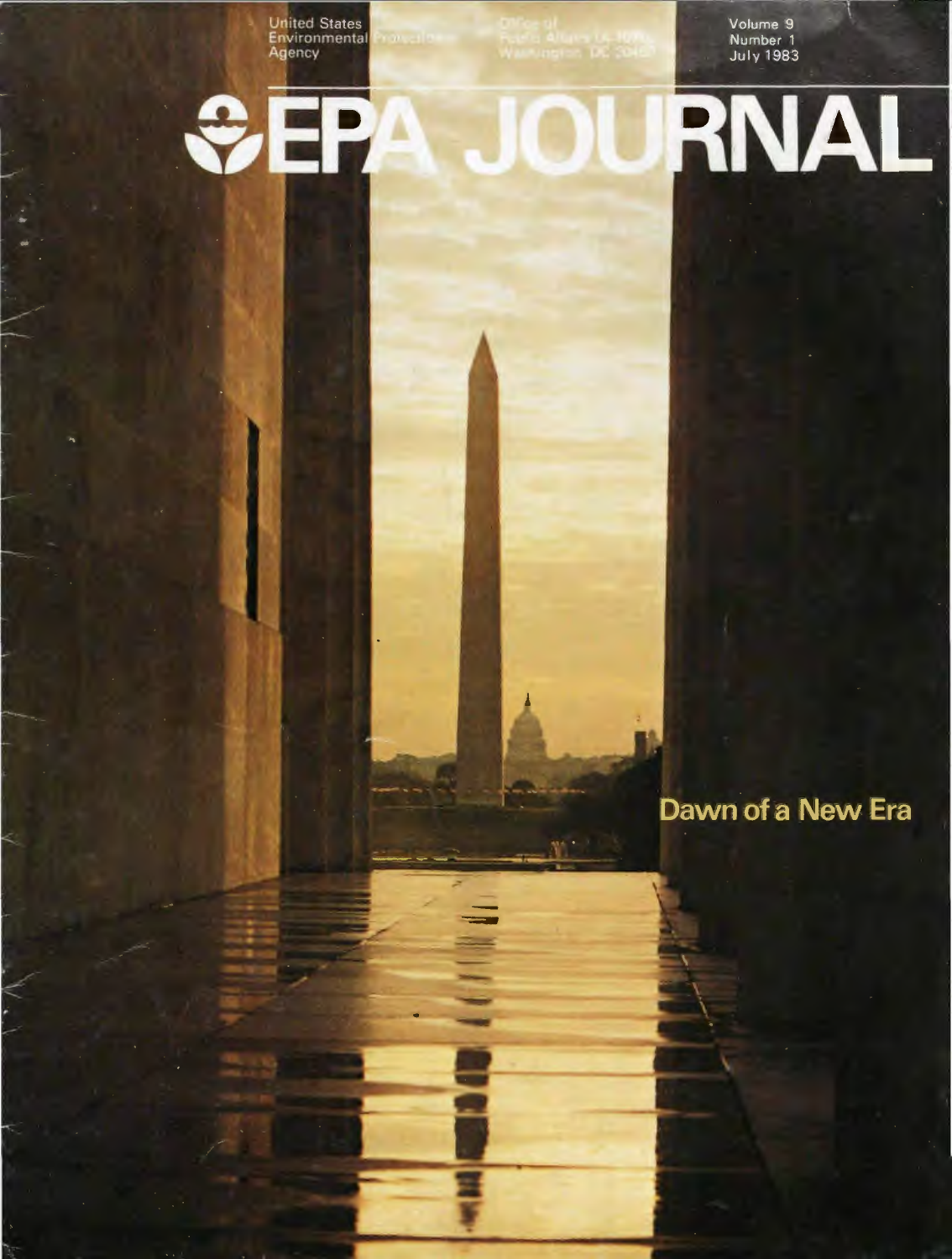**United States** Environmental Agency

 $EPT$ 

Volume 9<br>Number 1<br>July 1983

URNAL

### Dawn of a New Era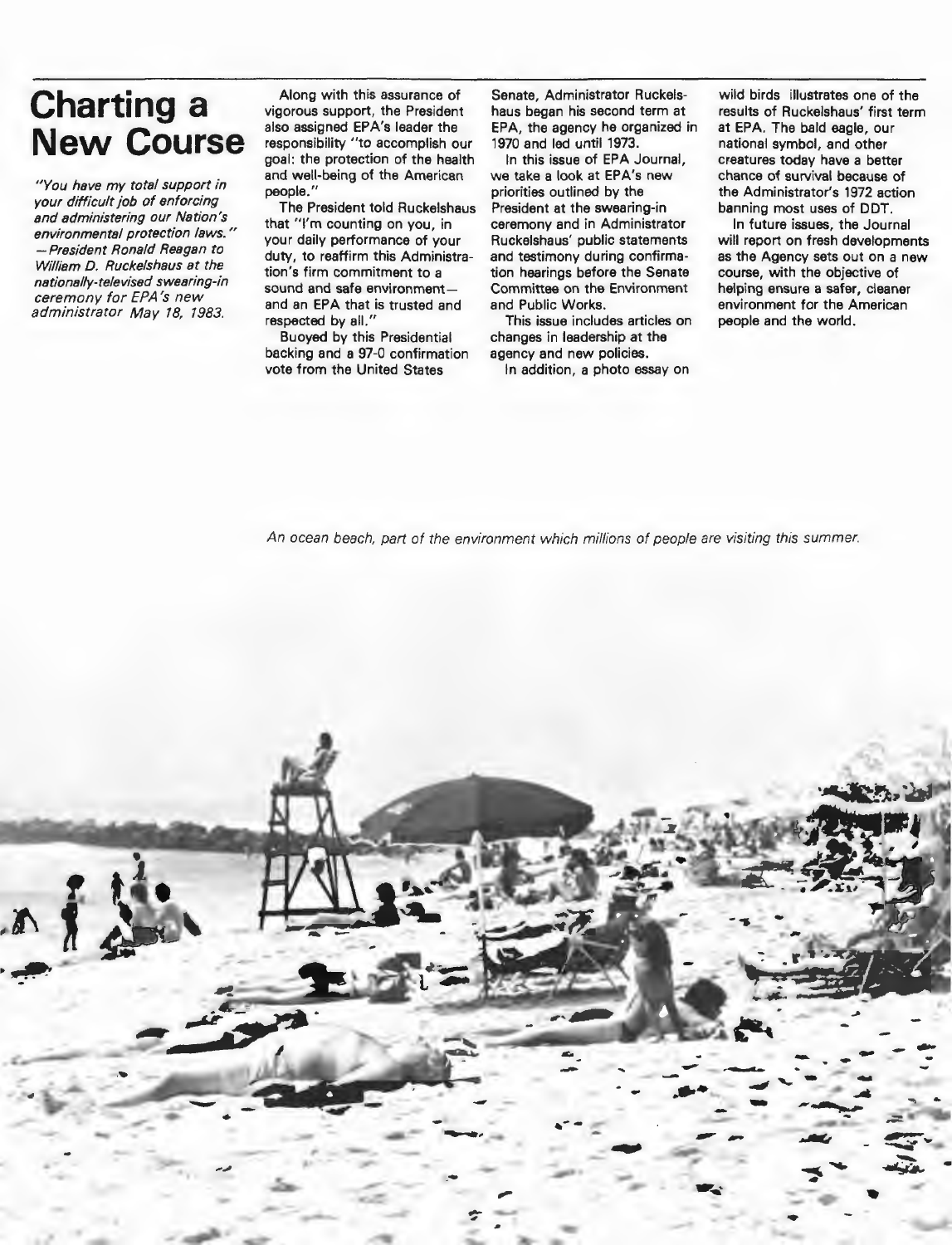### **Charting a New Course**

"You have my total support in your difficult job of enforcing and administering our Nation's environmental protection laws. " - President Ronald Reagan to William D. Ruckelshaus et the nationally-televised swearing-in ceremony for EPA 's new administrator May 18, 1983.

Along with this assurance of vigorous support, the President also assigned EPA's leader the responsibility "to accomplish our goal: the protection of the health and well-being of the American people."

The President told Ruckelshaus that "I'm counting on you, in your daily performance of your duty, to reaffirm this Administration's firm commitment to a sound and safe environmentand an EPA that is trusted and respected by all."

Buoyed by this Presidential backing and a 97-0 confirmation vote from the United States

Senate, Administrator Ruckelshaus began his second term at EPA, the agency he organized in 1970 and led until 1973.

In this issue of EPA Journal, we take a look at EPA's new priorities outlined by the President at the swearing-in ceremony and in Administrator Ruckelshaus' public statements and testimony during confirmation hearings before the Senate Committee on the Environment and Public Works.

This issue includes articles on changes in leadership at the agency and new policies.

In addition, a photo essay on

wild birds illustrates one of the results of Ruckelshaus' first term at EPA. The bald eagle, our national symbol, and other creatures today have a better chance of survival because of the Administrator's 1972 action banning most uses of DDT.

In future issues, the Journal will report on fresh developments as the Agency sets out on a new course, with the objective of helping ensure a safer, cleaner environment for the American people and the world.

An ocean beach, part of the environment which millions of people are visiting this summer.

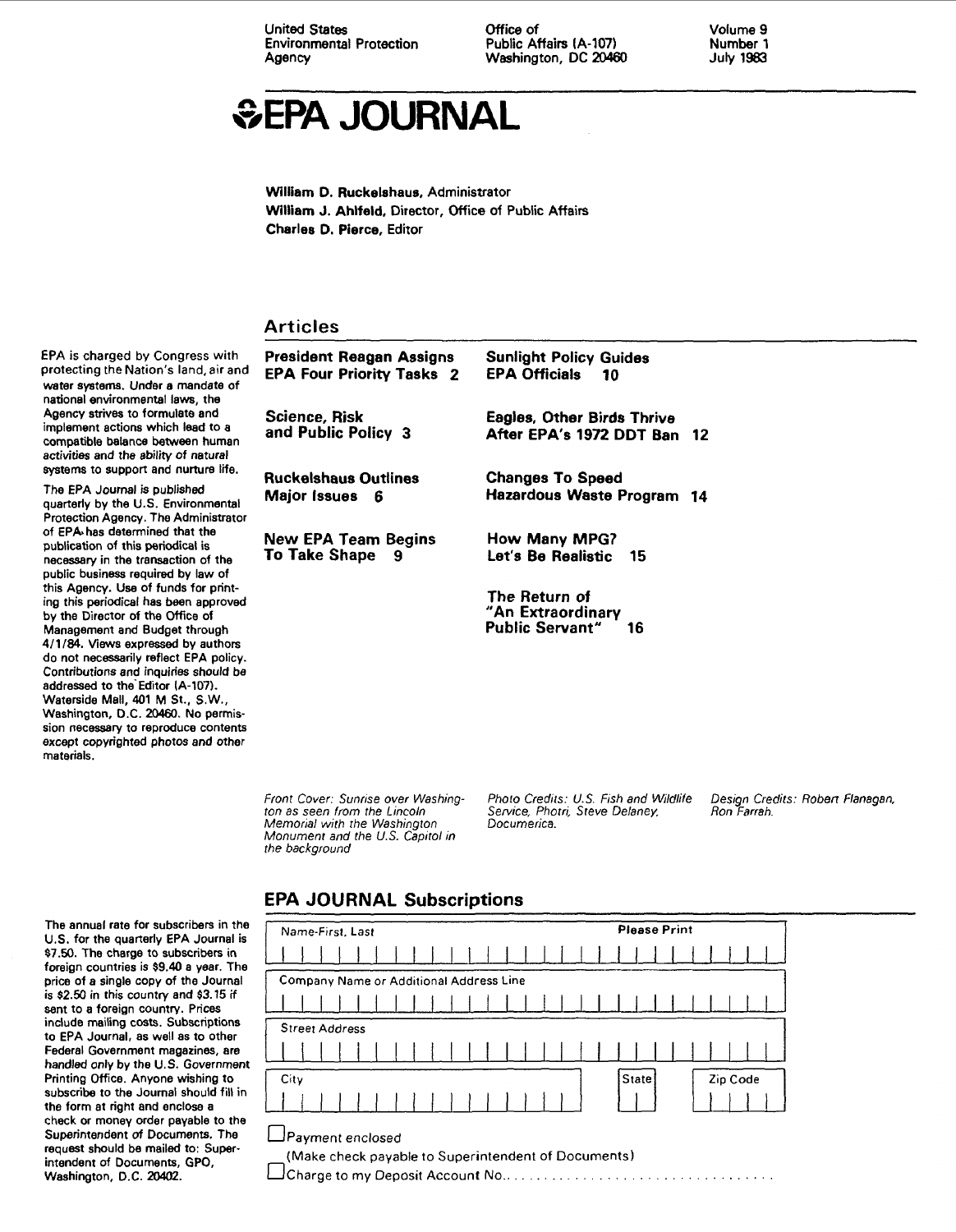United States Environmental Protection **Agency** 

Office of Public Affairs (A-107) Washington, DC 20460 Volume 9 Number 1 July 1983

### **&EPA JOURNAL**

William D. Ruckelahaus, Administrator William J. Ahlfeld, Director, Office of Public Affairs Charles D. Pierce, Editor

#### Articles

EPA is charged by Congress with protecting the Nation's land, air and water systems. Under a mandate of national environmental laws, the Agency strives to formulate and implement actions which lead to a compatible balance batween human activities and the ability of natural systems to support and nurture life.

The EPA Journal is published quarterly by the U.S. Environmental Protection Agency. The Administrator of EPA.has determined that the publication of this periodical is necessary in the transaction of the public business required by law of this Agency. Use of funds for printing this periodical has been approved by the Director of the Office of Management and Budget through 4/1184. Views expressed by authors do not necessarily reflect EPA policy. Contributions and inquiries should be addressed to the Editor (A-107). Waterside Mall, 401 M St., S.W., Washington, D.C. 20460. No permission necessary to reproduce contents except copyrighted photos and other materials.

The annual rate for subscribers in the U.S. for the quarterly EPA Journal is \$7 .50. The charge to subscribers in foreign countries is \$9.40 a year. The price of a single copy of the Journal is \$2.50 in this country and \$3. 75 if sent to a foreign country. Prices include mailing costs. Subscriptions to EPA Journal, as well as to other Federal Government magazines, are handled only by the U.S. Government Printing Office. Anyone wishing to subscribe to the Journal should fill in the form at right and enclose a check or money order payable to the Superintendent of Documents. The request should be mailed to: Superintendent of Documents, GPO, Washington, D.C. 20402.

| President Reagan Assigns<br><b>EPA Four Priority Tasks 2</b> | <b>Sunlight Policy Guides</b><br><b>EPA Officials</b><br>10 |
|--------------------------------------------------------------|-------------------------------------------------------------|
| Science, Risk                                                | Eagles, Other Birds Thrive                                  |
| and Public Policy 3                                          | After EPA's 1972 DDT Ban 12                                 |
| <b>Ruckelshaus Outlines</b>                                  | <b>Changes To Speed</b>                                     |
| Major Issues 6                                               | Hazardous Waste Program 14                                  |
| <b>New EPA Team Begins</b>                                   | How Many MPG?                                               |
| To Take Shape                                                | Let's Be Realistic                                          |
| 9                                                            | -15                                                         |

The Return of "An Extraordinary Public Servant"

Front Cover: Sunrise over Washing-ton as seen from the Lincoln Memorial with the Washington Monument and the U.S. Capitol in the background

Photo Credits: U.S. Fish and Wildlife Design Credits: Robert Flanagan,<br>Service, Photri, Steve Delaney, Phon Farrah, Service, Photri, Steve Delaney, Documerica.

### EPA JOURNAL Subscriptions

| State<br>Zip Code |
|-------------------|
|                   |
|                   |

 $\Box$ Payment enclosed

(Make check payable to Superintendent of Documents)

Dcharge to my Deposit Account No ..................... \_ ............ .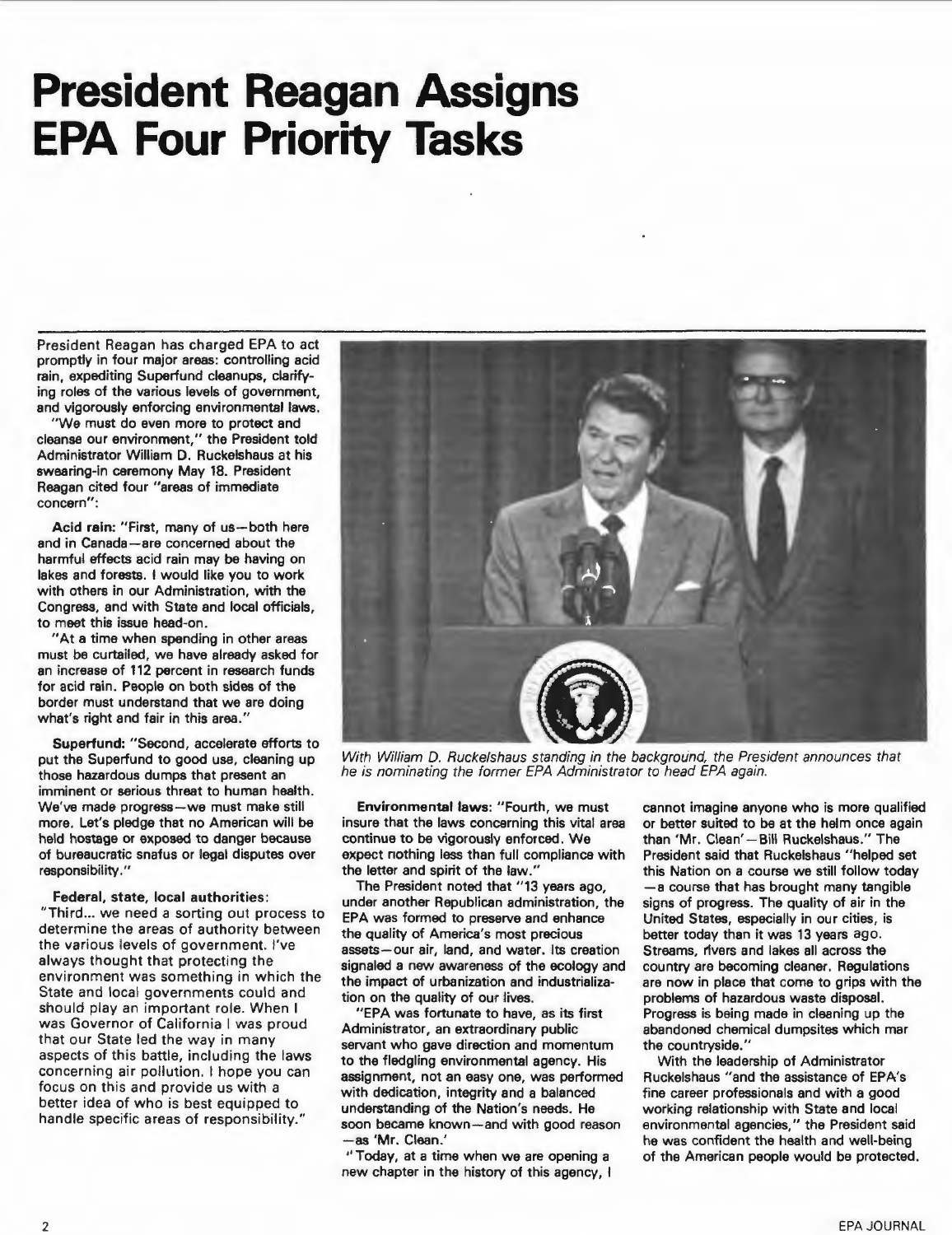## **President Reagan Assigns EPA Four Priority Tasks**

President Reagan has charged EPA to act promptly in four major areas: controlling acid rain, expediting Superfund cleanups, clarifying roles of the various levels of government, and vigorously enforcing environmental laws.

"We must do even more to protect and cleanse our environment," the President told Administrator William D. Ruckelshaus at his swearing-in ceremony May 18. President Reagan cited four "areas of immediate concern":

Acid rain: "First, many of us-both here and in Canada-are concerned about the harmful effects acid rain may be having on lakes and forests. I would like you to work with others in our Administration, with the Congress, and with State and local officials, to meet this issue head-on.

"At a time when spending in other areas must be curtailed, we have already asked for an increase of 112 percent in research funds for acid rain. People on both sides of the border must understand that we are doing what's right and fair in this area.'

Superfund: "Second, accelerate efforts to put the Superfund to good use, cleaning up those hazardous dumps that present an imminent or serious threat to human health. We've made progress-we must make still more. Let's pledge that no American will be held hostage or exposed to danger because of bureaucratic snafus or legal disputes over responsibility."

#### Federal, state, local authorities:

"Third... we need a sorting out process to determine the areas of authority between the various levels of government. I've always thought that protecting the environment was something in which the State and local governments could and should play an important role. When I was Governor of California I was proud that our State led the way in many aspects of this battle, including the laws concerning air pollution. I hope you can focus on this and provide us with a better idea of who is best equipped to handle specific areas of responsibility."



With William D. Ruckelshaus standing in the background, the President announces that he is nominating the former EPA Administrator to head EPA again.

Environmental laws: "Fourth, we must insure that the laws concerning this vital area continue to be vigorously enforced. We expect nothing less than full compliance with the letter and spirit of the law."

The President noted that "13 years ago, under another Republican administration, the EPA was formed to preserve and enhance the quality of America's most precious assets-our air, land, and water. Jts creation signaled a new awareness of the ecology and the impact of urbanization and industrialization on the quality of our lives.

"EPA was fortunate to have, as its first Administrator, an extraordinary public servant who gave direction and momentum to the fledgling environmental agency. His assignment, not an easy one, was performed with dedication, integrity and a balanced understanding of the Nation's needs. He soon became known-and with good reason -as 'Mr. Clean.'

''Today, at a time when we are opening a new chapter in the history of this agency, I cannot imagine anyone who is more qualified or better suited to be at the helm once again than 'Mr. Clean' - Bill Ruckelshaus." The President said that Ruckelshaus "helped set this Nation on a course we still follow today -a course that has brought many tangible signs of progress. The quality of air in the United States, especially in our cities, is better today than it was 13 years ago. Streams, rivers and lakes all across the country are becoming cleaner. Regulations are now in place that come to grips with the problems of hazardous waste disposal. Progress is being made in cleaning up the abandoned chemical dumpsites which mar the countryside."

With the leadership of Administrator Ruckelshaus "and the assistance of EPA's fine career professionals and with a good working relationship with State and local environmental agencies," the President said he was confident the health and well-being of the American people would be protected.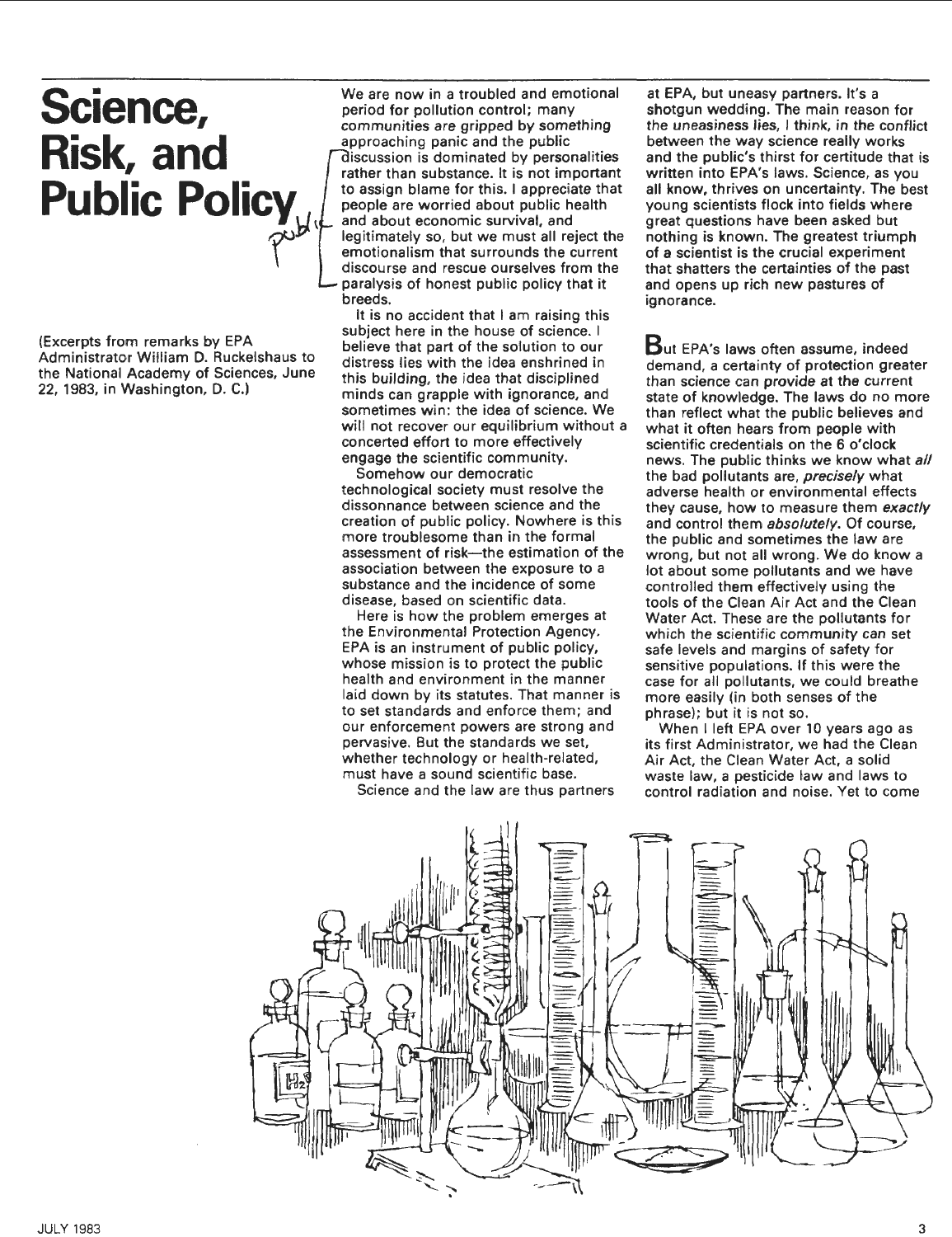# **Science, Risk, and Public Policy}),**  Pub

(Excerpts from remarks by EPA Administrator William D. Ruckelshaus to the National Academy of Sciences, June 22, 1983, in Washington, D. C.)

We are now in a troubled and emotional period for pollution control; many communities are gripped by something approaching panic and the public discussion is dominated by personalities rather than substance. It is not important to assign blame for this. I appreciate that people are worried about public health and about economic survival, and legitimately so, but we must all reject the emotionalism that surrounds the current discourse and rescue ourselves from the paralysis of honest public policy that it breeds.

It is no accident that  $I$  am raising this subject here in the house of science. I believe that part of the solution to our distress lies with the idea enshrined in this building, the idea that disciplined minds can grapple with ignorance, and sometimes win: the idea of science. We will not recover our equilibrium without a concerted effort to more effectively engage the scientific community.

Somehow our democratic technological society must resolve the dissonnance between science and the creation of public policy. Nowhere is this more troublesome than in the formal assessment of risk--the estimation of the association between the exposure to a substance and the incidence of some disease, based on scientific data.

Here is how the problem emerges at the Environmental Protection Agency. EPA is an instrument of public policy, whose mission is to protect the public health and environment in the manner laid down by its statutes. That manner is to set standards and enforce them; and our enforcement powers are strong and pervasive. But the standards we set, whether technology or health-related, must have a sound scientific base.

Science and the law are thus partners

at EPA, but uneasy partners. It's a shotgun wedding. The main reason for the uneasiness lies, I think, in the conflict between the way science really works and the public's thirst for certitude that is written into EPA's laws. Science, as you all know, thrives on uncertainty. The best young scientists flock into fields where great questions have been asked but nothing is known. The greatest triumph of a scientist is the crucial experiment that shatters the certainties of the past and opens up rich new pastures of ignorance.

 $B$ ut EPA's laws often assume, indeed demand, a certainty of protection greater than science can provide *at* the current state of knowledge. The laws do no more than reflect what the public believes and what it often hears from people with scientific credentials on the 6 o'clock news. The public thinks we know what all the bad pollutants are, *precisely* what adverse health or environmental effects they cause, how to measure them *exactly*  and control them *absolutely.* Of course, the public and sometimes the law are wrong, but not all wrong. We do know a lot about some pollutants and we have controlled them effectively using the tools of the Clean Air Act and the Clean Water Act. These are the pollutants for which the scientific community can set safe levels and margins of safety for sensitive populations. If this were the case for all pollutants, we could breathe more easily (in both senses of the phrase); but it is not so.

When I left EPA over 10 years ago as its first Administrator, we had the Clean Air Act, the Clean Water Act, a solid waste law, a pesticide law and laws to control radiation and noise. Yet to come

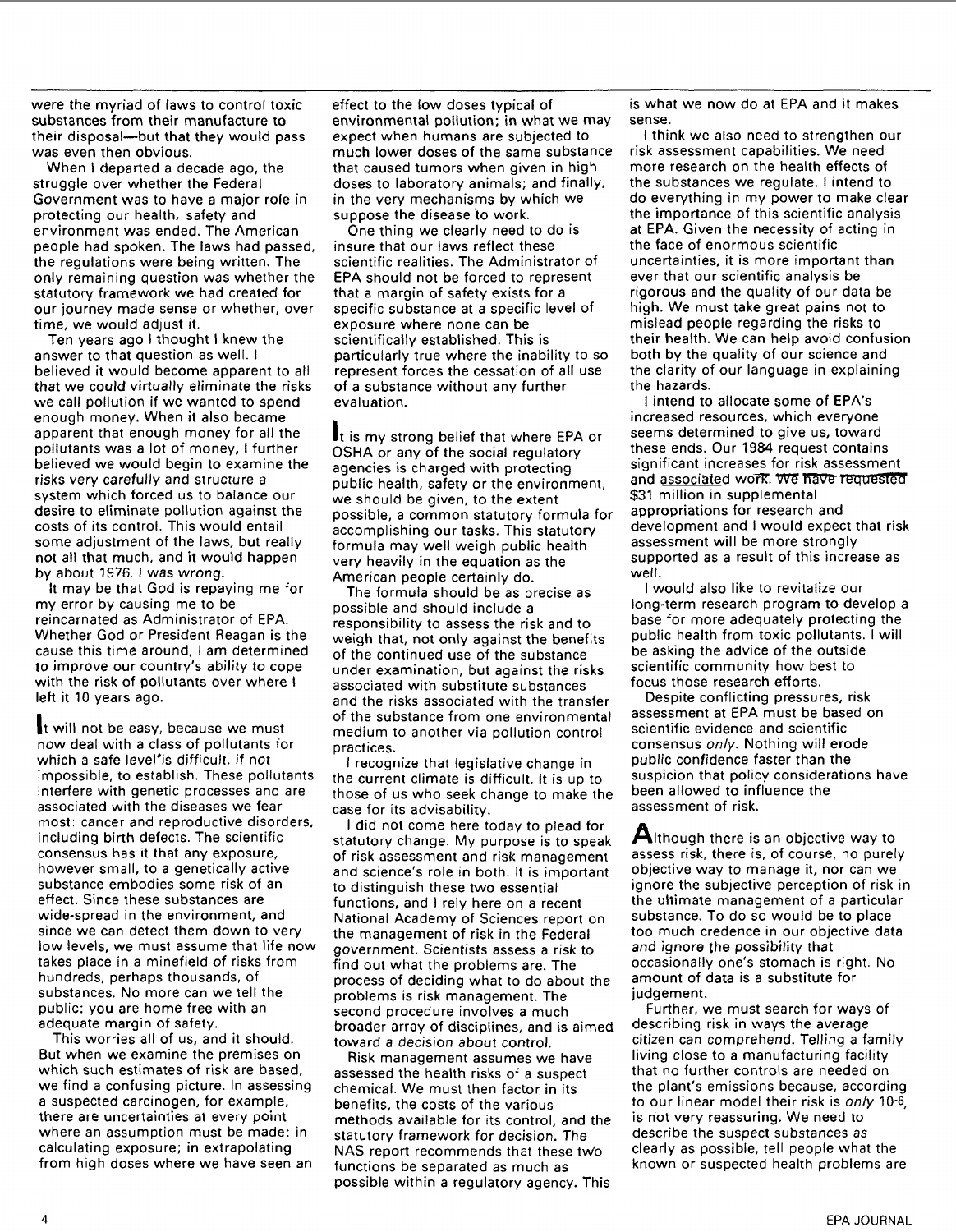were the myriad of laws to control toxic substances from their manufacture to their disposal-but that they would pass was even then obvious.

When I departed a decade ago, the struggle over whether the Federal Government was to have a major role in protecting our health, safety and environment was ended. The American people had spoken. The laws had passed, the regulations were being written. The only remaining question was whether the statutory framework we had created for our journey made sense or whether, over time, we would adjust it.

Ten years ago I thought I knew the answer to that question as well. I believed it would become apparent to all that we could virtually eliminate the risks we call pollution if we wanted to spend enough money. When it also became apparent that enough money for all the pollutants was a lot of money, I further believed we would begin to examine the risks very carefully and structure a system which forced us *to* balance our desire to eliminate pollution against the costs of its control. This would entail some adjustment of the laws, but really not all that much, and it would happen by about 1976. I was wrong.

It may be that God is repaying me for my error by causing me to be reincarnated as Administrator of EPA. Whether God or President Reagan is the cause this time around, I am determined to improve our country's ability to cope with the risk of pollutants over where I left it 10 years ago.

It will not be easy, because we must now deal with a class of pollutants for which a safe level<sup>\*</sup> is difficult, if not impossible, to establish. These pollutants interfere with genetic processes and are associated with the diseases we fear most: cancer and reproductive disorders, including birth defects. The scientific consensus has it that any exposure, however small, to a genetically active substance embodies some risk of an effect. Since these substances are wide-spread in the environment, and since we can detect them down to very low levels, we must assume that life now takes place in a minefield of risks from hundreds, perhaps thousands, of substances. No more can we tell the public: you are home free with an adequate margin of safety.

This worries all of us, and it should. But when we examine the premises on which such estimates of risk are based, we find a confusing picture. In assessing a suspected carcinogen, for example, there are uncertainties at every point where an assumption must be made: in calculating exposure; in extrapolating from high doses where we have seen an

effect to the low doses typical of environmental pollution; in what we may expect when humans are subjected to much lower doses of the same substance that caused tumors when given in high doses to laboratory animals; and finally, in the very mechanisms by which we suppose the disease to work.

One thing we clearly need to do is insure that our laws reflect these scientific realities. The Administrator of EPA should not be forced to represent that a margin of safety exists for a specific substance at a specific level of exposure where none can be scientifically established. This is particularly true where the inability to so represent forces the cessation of all use of a substance without any further evaluation.

**It** is my strong belief that where EPA or OSHA or any of the social regulatory agencies is charged with protecting public health, safety or the environment, we should be given, to the extent possible, a common statutory formula for accomplishing our tasks. This statutory formula may well weigh public health very heavily in the equation as the American people certainly do.

The formula should be as precise as possible and should include a responsibility to assess the risk and to weigh that, not only against the benefits of the continued use of the substance under examination, but against the risks associated with substitute substances and the risks associated with the transfer of the substance from one environmental medium to another via pollution control practices.

I recognize that legislative change in the current climate is difficult. It is up to those of us who seek change to make the case for its advisability.

I did not come here today to plead for statutory change. My purpose is to speak of risk assessment and risk management and science's role in both. It is important to distinguish these two essential functions, and I rely here on a recent National Academy of Sciences report on the management of risk in the Federal government. Scientists assess a risk to find out what the problems are. The process of deciding what to do about the problems is risk management. The second procedure involves a much broader array of disciplines, and is aimed toward a decision about control.

Risk management assumes we have assessed the health risks of a suspect chemical. We must then factor in its benefits, the costs of the various methods available for its control, and the statutory framework for decision. The NAS report recommends that these two functions be separated as much as possible within a regulatory agency. This

is what we now do at EPA and it makes sense.

I think we also need to strengthen our risk assessment capabilities. We need more research on the health effects of the substances we regulate. I intend to do everything in my power to make clear the importance of this scientific analysis at EPA. Given the necessity of acting in the face of enormous scientific uncertainties, it is more important than ever that our scientific analysis be rigorous and the quality of our data be high. We must take great pains not to mislead people regarding the risks to their health. We can help avoid confusion both by the quality of our science and the clarity of our language in explaining the hazards.

I intend to allocate some of EPA's increased resources, which everyone seems determined to give us, toward these ends. Our 1984 request contains significant increases for risk assessment and associated work. We have requested \$31 million in supplemental appropriations for research and development and I would expect that risk assessment will be more strongly supported as a result of this increase as well.

l would also like to revitalize our long-term research program to develop a base for more adequately protecting the public health from toxic pollutants. I will be asking the advice of the outside scientific community how best to focus those research efforts.

Despite conflicting pressures, risk assessment at EPA must be based on scientific evidence and scientific consensus only. Nothing will erode public confidence faster than the suspicion that policy considerations have been allowed to influence the assessment of risk.

Although there is an objective way to assess risk, there is, of course, no purely objective way to manage it, nor can we ignore the subjective perception of risk in the ultimate management of a particular substance. To do so would be to place too much credence in our objective data and ignore the possibility that occasionally one's stomach is right. No amount of data is a substitute for judgement.

Further, we must search for ways of describing risk in ways the average citizen can comprehend. Telling a family living close to a manufacturing facility that no further controls are needed on the plant's emissions because, according to our linear model their risk is *only* 10-6. is not very reassuring. We need to describe the suspect substances as clearly as possible, tell people what the known or suspected health problems are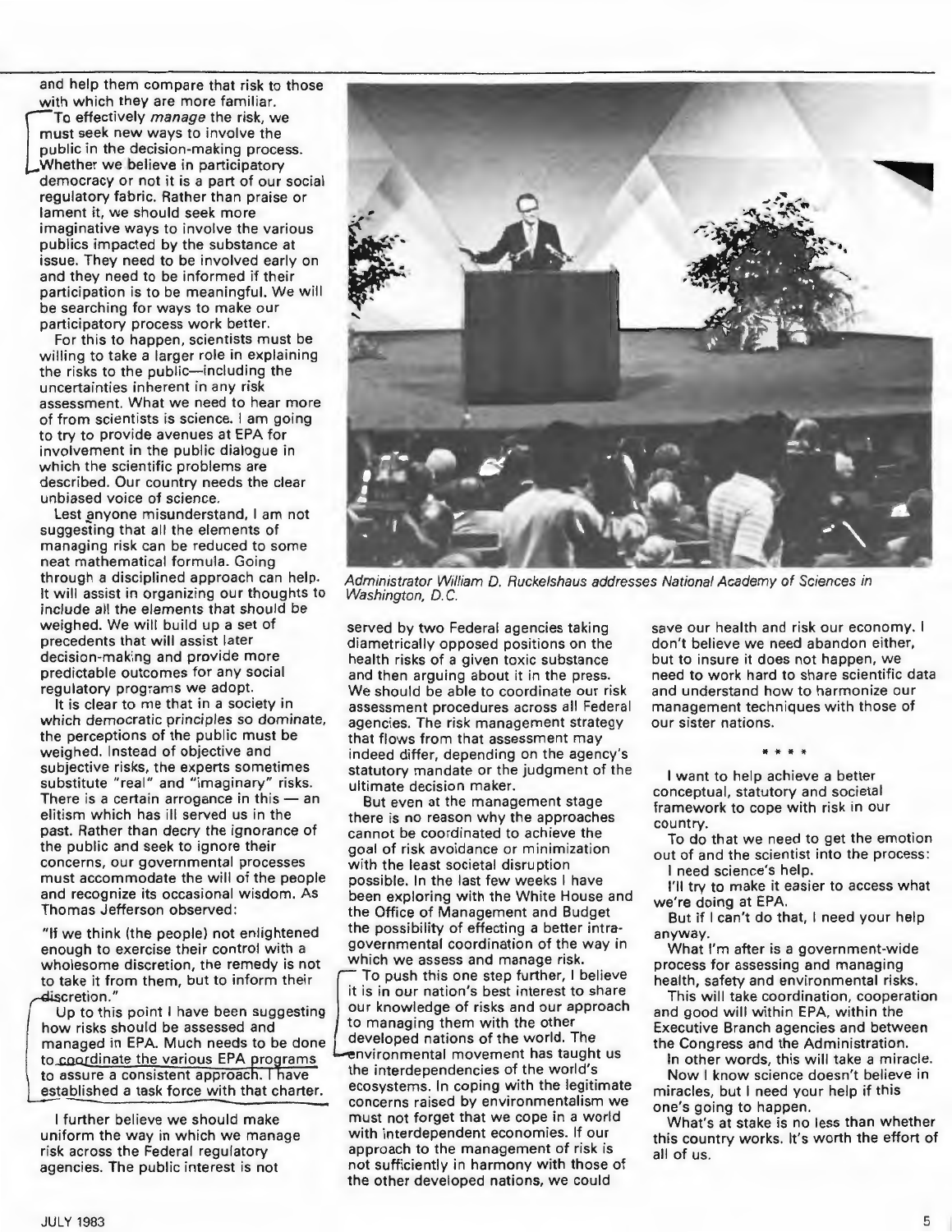and help them compare that risk to those with which they are more familiar.

To effectively manage the risk, we must seek new ways to involve the ublic in the decision-making process. Whether we believe in participatory democracy or not it is a part of our social regulatory fabric. Rather than praise or lament it, we should seek more imaginative ways to involve the various publics impacted by the substance at issue. They need to be involved early on and they need to be informed if their participation is to be meaningful. We will be searching for ways to make our participatory process work better.

For this to happen, scientists must be willing to take a larger role in explaining the risks to the public-including the uncertainties inherent in any risk assessment. What we need to hear more of from scientists is science. I am going to try to provide avenues at EPA for involvement in the public dialogue in which the scientific problems are described. Our country needs the clear unbiased voice of science.

Lest anyone misunderstand, I am not suggesting that all the elements of managing risk can be reduced to some neat mathematical formula. Going through a disciplined approach can help. It will assist in organizing our thoughts to include all the elements that should be<br>weighed. We will build up a set of weighed. We will build up a set of served by two Federal agencies taking<br>precedents that will assist later served alametrically opposed positions on the precedents that will assist later and diametrically opposed positions on the decision-making and provide more beath risks of a given toxic substance decision-making and provide more a health risks of a given toxic substance<br>predictable outcomes for any social and then arquing about it in the press. predictable outcomes for any social and then arguing about it in the press.<br>
regulatory programs we adopt. We should be able to coordinate our ri

It is clear to me that in a society in a sessment procedures across all Federal<br>which democratic principles so dominate, agencies. The risk management strategy which democratic principles so dominate, agencies. The risk management strategy the perceptions of the public must be that flows from that assessment may the perceptions of the public must be that flows from that assessment may<br>weighed. Instead of objective and end and the agency indeed differ, depending on the agency weighed. Instead of objective and indeed differ, depending on the agency's subjective risks, the experts sometimes statutory mandate or the indument of the substitute "real" and "imaginary" risks. ultimate decision maker. There is a certain arrogance in this  $-$  an But even at the management stage elitism which has ill served us in the  $\frac{1}{2}$  there is no reason why the approache elitism which has ill served us in the there is no reason why the approaches past. Rather than decry the ignorance of cannot be coordinated to achieve the past. Rather than decry the ignorance of cannot be coordinated to achieve the the public and seek to ignore their cannot be coordinated or minimization concerns, our governmental processes must accommodate the will of the people possible. In the last few weeks I have and recognize its occasional wisdom. As been exploring with the White House

enough to exercise their control with a governmental coordination of the variable problem of the remark is not which we assess and manage risk. wholesome discretion, the remedy is not which we assess and manage risk.<br>to take it from them, but to inform their  $\sqrt{2}$  To push this one step further, I believe "If we think (the people) not enlightened<br>enough to exercise their control with a<br>wholesome discretion, the remedy is not<br>to take it from them, but to inform their<br>discretion." To push this one step further, I believe<br>disc

how risks should be assessed and the managing them with the other<br>managed in FPA. Much needs to be done managed in EPA. Much needs to be done  $\mu$  developed nations of the world. The managed in EPA programs to coordinate the various EPA programs the interdependencies of the world's to assure a consistent approach. I have the interdependencies of the world's<br>established a task force with that charter ecosystems. In coping with the legitimate

uniform the way in which we manage



Administrator William D. Ruckelshaus addresses National Academy of Sciences in Washington, D.C.

regulatory programs we adopt. We should be able to coordinate our risk<br>It is clear to me that in a society in assessment procedures across all Federal statutory mandate or the judgment of the

goal of risk avoidance or minimization<br>with the least societal disruption and recognize its occasional wisdom. As been exploring with the White House and<br>Thomas Jefferson observed: the Office of Management and Budget the Office of Management and Budget "If we think (the people) not enlightened the possibility of effecting a better intra-<br>governmental coordination of the way in

 $U_{\rm D}$  to this point I have been suggesting  $\bigcup_{\rm D}$  our knowledge of risks and our approach  $\bigcup_{\rm D}$  to managing them with the other established a task force with that charter. ecosystems. In coping with the legitimate concerns raised by environmentalism we I further believe we should make must not forget that we cope in a world<br>iform the way in which we manage with interdependent economies. If our risk across the Federal regulatory approach to the management of risk is agencies. The public interest is not not sufficiently in harmony with those of the other developed nations, we could

save our health and risk our economy. I don't believe we need abandon either, but to insure it does not happen, we need to work hard to share scientific data and understand how to harmonize our management techniques with those of our sister nations.

\* \* \* \*

I want to help achieve a better conceptual, statutory and societal framework to cope with risk in our country.

To do that we need to get the emotion out of and the scientist into the process:

I need science's help.

I'll try to make it easier to access what we're doing at EPA.

But if I can't do that, I need your help anyway.

What I'm after is a government-wide process for assessing and managing health, safety and environmental risks.

This will take coordination, cooperation and good will within EPA, within the Executive Branch agencies and between the Congress and the Administration.

In other words, this will take a miracle. Now I know science doesn't believe in miracles, but I need your help if this one's going to happen.

What's at stake is no less than whether this country works. It's worth the effort of all of us.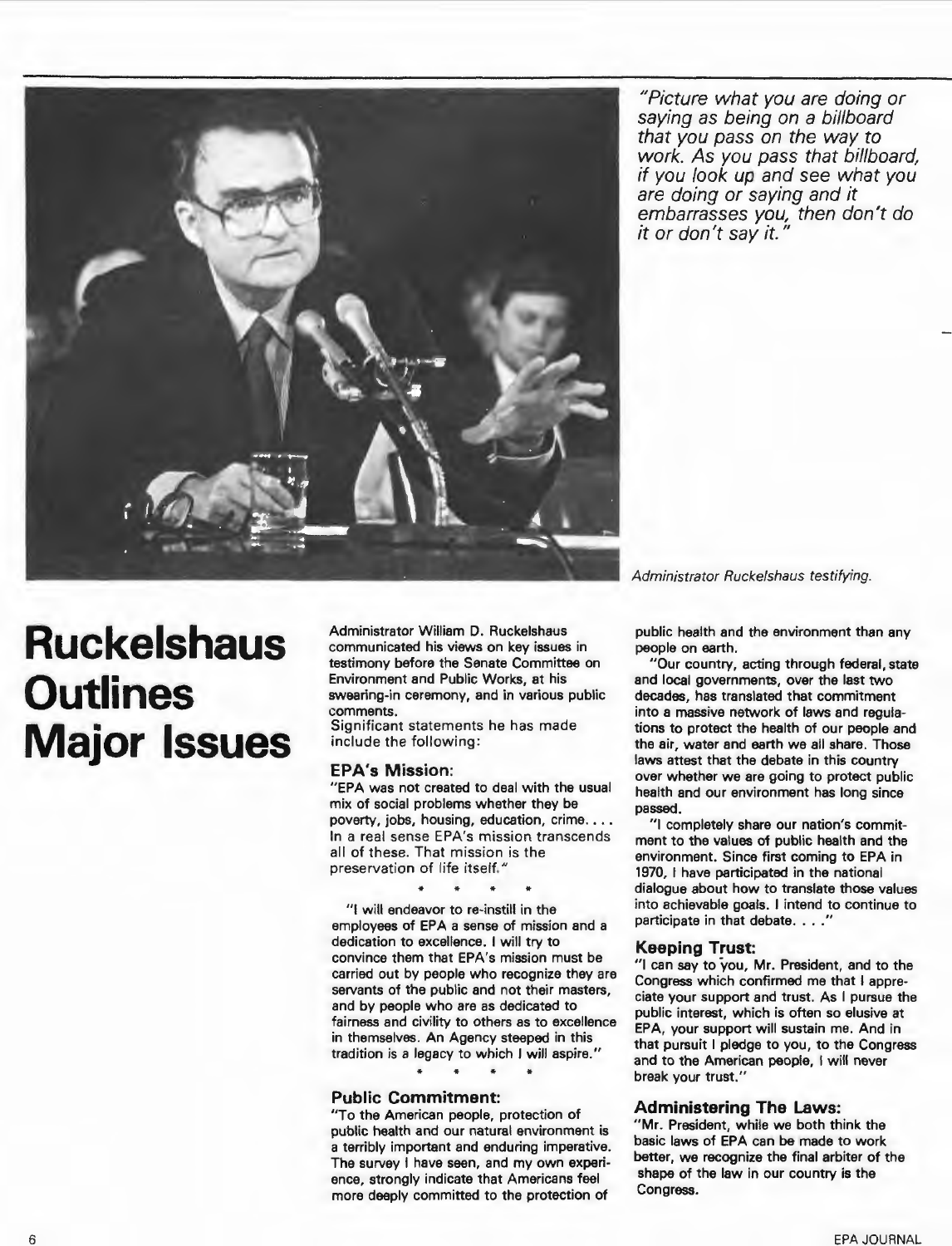![](_page_7_Picture_0.jpeg)

"Picture what you are doing or saying as being on a billboard that you pass on the way to work. As you pass that billboard, if you look up and see what you are doing or saying and it embarrasses you, then don't do *it* or don't say *it.* "

Administrator Ruckelshaus testifying.

# **Ruckelshaus Outlines Major Issues**

Administrator William D. Ruckelshaus communicated his views on key issues in testimony before the Senate Committee on Environment and Public Works, at his swearing-in ceremony, and in various public comments.

Significant statements he has made include the following:

### **EPA's Mission:**

"EPA was not created to deal with the usual mix of social problems whether they be poverty, jobs, housing, education, crime.... In a real sense EPA's mission transcends all of these. That mission is the preservation of life itself."

\* \* \* • "I will endeavor to re-instill in the employees of EPA a sense of mission and a dedication to excellence. I will try to convince them that EPA's mission must be carried out by people who recognize they are servants of the public and not their masters. and by people who are as dedicated to fairness and civility to others as to excellence in themselves. An Agency steeped in this tradition is a legacy to which I will aspire."

\* \* • \*

### **Public Commitment:**

"To the American people, protection of public health and our natural environment is a terribly important and enduring imperative. The survey I have seen, and my own experience, strongly indicate that Americans feel more deeply committed to the protection of

public health and the environment than any people on earth.

"Our country, acting through federal, state and local governments, over the last two decades, has translated that commitment into a massive network of laws and regulations to protect the health of our people and the air, water and earth we all share. Those laws attest that the debate in this country over whether we are going to protect public health and our environment has long since passed.

"I completely share our nation's commitment to the values of public health and the environment. Since first coming to EPA in 1970, I have participated in the national dialogue about how to translate those values into achievable goals. I intend to continue to participate in that debate. . . ."

### **Keeping Trust:**

"I can say to you, Mr. President, and to the Congress which confirmed me that I appreciate your support and trust. As I pursue the public interest, which is often so elusive at EPA, your support will sustain me. And in that pursuit I pledge to you, to the Congress and to the American people, I will never break your trust."

### **Administering The Laws:**

"Mr. President, while we both think the basic laws of EPA can be made to work better, we recognize the final arbiter of the shape of the law in our country is the Congress.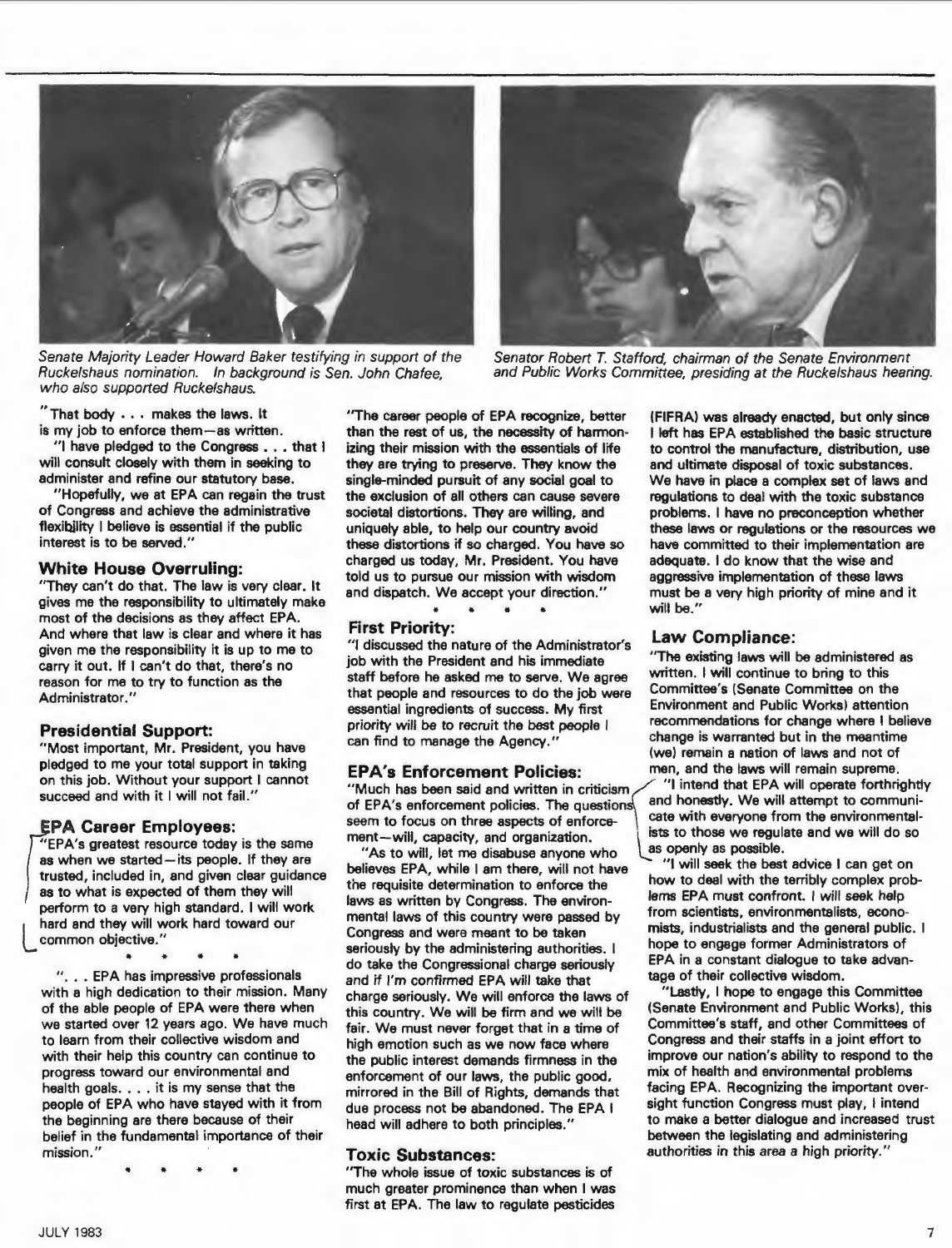![](_page_8_Picture_0.jpeg)

Senate Majority Leader Howard Baker testifying in support of the Ruckelshaus nomination. In background is Sen. John Chafee, who also supported Ruckelshaus.

![](_page_8_Picture_2.jpeg)

Senator Robert *T.* Stafford, chairman of the Senate Environment and Public Works Committee, presiding at the Ruckelshaus hearing.

"That body • . . makes the laws. It

is my job to enforce them-as written. "I have pledged to the Congress . . . that I will consult closely with them in seeking to administer and refine our statutory base.

"Hopefully, we at EPA can regain the trust of Congress and achieve the administrative flexibility I believe is essential if the public interest is to be served."

#### White House Overruling:

"They can't do that. The law is very clear. It gives me the responsibility to ultimately make most of the decisions as they affect EPA. And where that law is clear and where it has given me the responsibility it is up to me to carry it out. If I can't do that, there's no reason for me to try to function as the Administrator."

#### Presidential Support:

"Most important, Mr. President, you have pledged to me your total support in taking on this job. Without your support I cannot succeed and with it I will not fail."

#### PA Career Employees:

EPA's greatest resource today is the same as when we started-its people. If they are trusted, included in, and given clear guidance as to what is expected of them they will perform to a very high standard. I will work hard and they will work hard toward our common objective."

\* \* \* \*

". . . EPA has impressive professionals with a high dedication to their mission. Many of the able people of EPA were there when we started over 12 years ago. We have much to learn from their collective wisdom and with their help this country can continue to progress toward our environmental and health goals. . . . it is my sense that the people of EPA who have stayed with it from the beginning are there because of their belief in the fundamental importance of their mission."

.. \* .. \*

"The career people of EPA recognize, better than the rest of us, the necessity of harmonizing their mission with the essentials of life they are trying to preserve. They know the single-minded pursuit of any social goal to the exclusion of all others can cause severe societal distortions. They are willing, and uniquely able, to help our country avoid these distortions if so charged. You have so charged us today, Mr. President. You have told us to pursue our mission with wisdom and dispatch. We accept your direction."

### \* \* • •

First Priority:<br>"I discussed the nature of the Administrator's Law Compliance: job with the President and his immediate staff before he asked me to serve. We agree that people and resources to do the job were essential ingredients of success. My first priority will be to recruit the best people I can find to manage the Agency.'

of EPA's enforcement policies. The questions and honestly. We will attempt to communi-<br>seem to focus on three sepects of enforce. Cate with everyone from the environmentalseem to focus on three aspects of enforce-

"As to will, let me disabuse anyone who l\_!S ,?pe~ly as possible. . believes EPA, while I am there, will not have The Will seek the best advice I can get on<br>the requisite determination to anforce the Thow to deal with the terribly complex probthe requisite determination to enforce the how to deal with the terribly complex pro<br>learn as written by Congress The environe Herns EPA must confront. I will seek help laws as written by Congress. The environ- lems EPA must contront. I will seek help<br>mental laws of this country were peopod by from scientists, environmentalists, economental laws of this country were passed by Congress and were meant to be taken mists, industrialists and the general public. I<br>Congress and were meant to be taken mists, industrialists and the general public. I seriously by the administering authorities. I hope to engage former Administrators of<br>do take the Congressional charge seriously. EPA in a constant dialogue to take advando take the Congressional charge seriously EPA in a constant dialogue to the constant  $\frac{d}{dx}$  and if it are advanced ERA will take that the take of their collective wisdom. and if I'm confirmed EPA will take that tage of their collective wisdom.<br>charge seriously. We will enforce the laws of "Lastly, I hope to engage this Committee" charge seriously. We will enforce the laws of fair. We must never forget that in a time of the public interest demands firmness in the improve our nation's ability to respond to the public coord in the multiple coord in the number of purpose our national problems enforcement of our laws, the public good, mix of health and environmental problems<br>mirrored in the Bill of Bights, demands that facing EPA. Recognizing the important overmirrored in the Bill of Rights, demands that facing EPA. Recognizing the important over-<br>due process not be shandoned. The EPA is gight function Congress must play, I intend

''The whole issue of toxic substances is of much greater prominence than when I was first at EPA. The law to regulate pesticides

(FIFRA) was already enacted, but only since I left has EPA established the basic structure to control the manufacture, distribution, use and ultimate disposal of toxic substances. We have in place a complex set of laws and regulations to deal with the toxic substance problems. I have no preconception whether these laws or regulations or the resources we have committed to their implementation are adequate. I do know that the wise and aggressive implementation of these laws must be a very high priority of mine and it will be."

"The existing laws will be administered as written. I will continue to bring to this Committee's (Senate Committee on the Environment and Public Works) attention recommendations for change where I believe change is warranted but in the meantime (we) remain a nation of laws and not of EPA's Enforcement Policies: men, and the laws will remain supreme.<br>"Much has been said and written in criticism / "I intend that EPA will operate forthrightly

"Much has been said and written in criticism~ "I intend that EPA will operate forthrightly ment-will, capacity, and organization.<br>
"As to will let me dischuse apvone who as openly as possible.

this country. We will be firm and we will be  $\frac{1}{2}$  (Senate Environment and Public Works), this fair when we will be  $\frac{1}{2}$  (Senate Environment and Public Works), this high emotion such as we now face where  $\frac{1}{2}$  Congress and their staffs in a joint effort to the hublic interest demands firmness in the improve our nation's ability to respond to the due process not be abandon~. The EPA I sight function Con~ress must ~lay, I intend head will adhere to both principles." to make a better dialogue and increased the legislating and administering Toxic Substances: authorities in this area a high priority."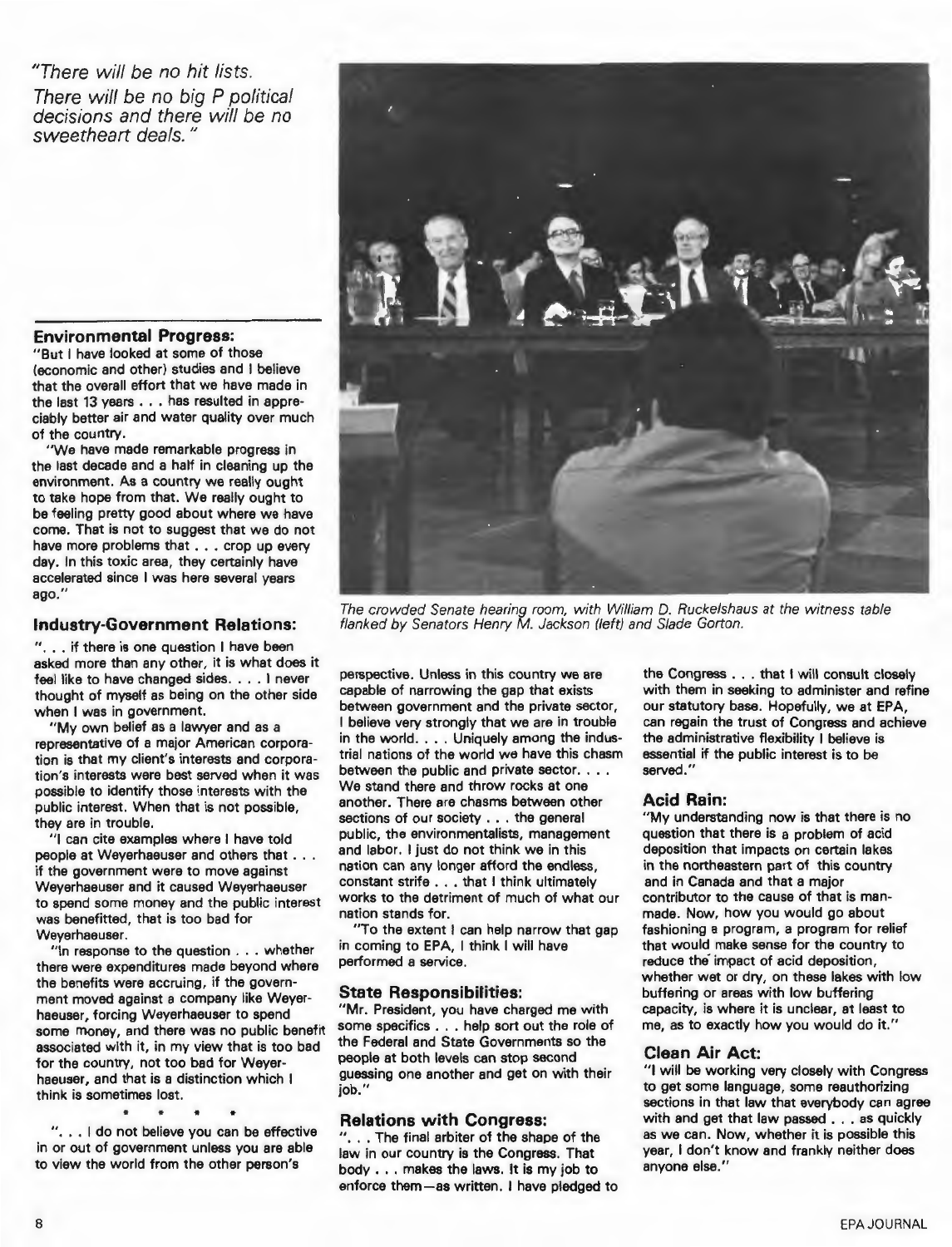### "There will be no hit lists. There will be no big P political decisions and there will be no sweetheart deals.

#### **Environmental Progress:**

"But I have looked at some of those (economic and other) studies and I believe that the overall effort that we have made in the last 13 years . . . has resulted in appreciably better air and water quality over much of the country.

'We have made remarkable progress in the last decade and a half in cleaning up the environment. As a country we really ought to take hope from that. We really ought to be feeling pretty good about where we have come. That is not to suggest that we do not have more problems that . . . crop up every day. In this toxic area, they certainly have accelerated since I was here several years ago."

#### **Industry-Government Relations:**

"... if there is one question I have been asked more than any other, it is what does it feel like to have changed sides. . . . I never thought of myself as being on the other side when I was in government.

"My own belief as a lawyer and as a representative of a major American corporation is that my client's interests and corporation's interests were best served when it was possible to identify those interests with the public interest. When that is not possible, they are in trouble.

"I can cite examples where I have told people at Weyerhaeuser and others that ... it the government were to move against Weyerhaeuser and it caused Weyerhaeuser to spend some money and the public interest was benefitted, that is too bad for Weyerhaeuser.

"In response to the question ... whether there were expenditures made beyond where the benefits were accruing, if the government moved against a company like Weyerhaeuser, forcing Weyerhaeuser to spend some money, and there was no public benefit associated with it, in my view that is too bad for the country, not too bad for Weyerhaeuser, and that is a distinction which I think is sometimes lost.

"... I do not believe you can be effective in or out of government unless you are able to view the world from the other person's

![](_page_9_Picture_10.jpeg)

The crowded Senate hearing room, with William D. Ruckelshaus at the witness table flanked *by* Senators Henry M. Jackson (left) and Slade Gorton.

perspective. Unless in this country we are capable of narrowing the gap that exists between government and the private sector, I believe very strongly that we are in trouble in the world. . . . Uniquely among the industrial nations of the world we have this chasm between the public and private sector. . . . We stand there and throw rocks at one another. There are chasms between other sections of our society ... the general public, the environmentalists, management and labor. I just do not think we in this nation can any longer afford the endless, constant strife ... that I think ultimately works to the detriment of much of what our nation stands for.

"To the extent I can help narrow that gap in coming to EPA, I think I will have performed a service.

#### **State Responsibilities:**

"Mr. President, you have charged me with some specifics . . . help sort out the role of the Federal and State Governments so the people at both levels can stop second guessing one another and get on with their job."

#### **Relations with Congress:**

"... The final arbiter of the shape of the law in our country is the Congress. That body ... makes the laws. It is my job to enforce them-as written. I have pledged to the Congress . . . that I will consult closely with them in seeking to administer and refine our statutory base. Hopefully, we at EPA, can regain the trust of Congress and achieve the administrative flexibility I believe is essential if the public interest is to be served."

#### **Acid Rain:**

"My understanding now is that there is no question that there is a problem of acid deposition that impacts on certain lakes in the northeastern part of this country and in Canada and that a major contributor to the cause of that is manmade. Now, how you would go about fashioning a program, a program for relief that would make sense for the country to reduce the impact of acid deposition, whether wet or dry, on these lakes with low buffering or areas with low buffering capacity, is where it is unclear, at least to me, as to exactly how you would do it."

#### **Clean Air Act:**

"I will be working very closely with Congress to get some language, some reauthorizing sections in that law that everybody can agree with and get that law passed . . . as quickly as we can. Now, whether it is possible this year, I don't know and frankly neither does anyone else."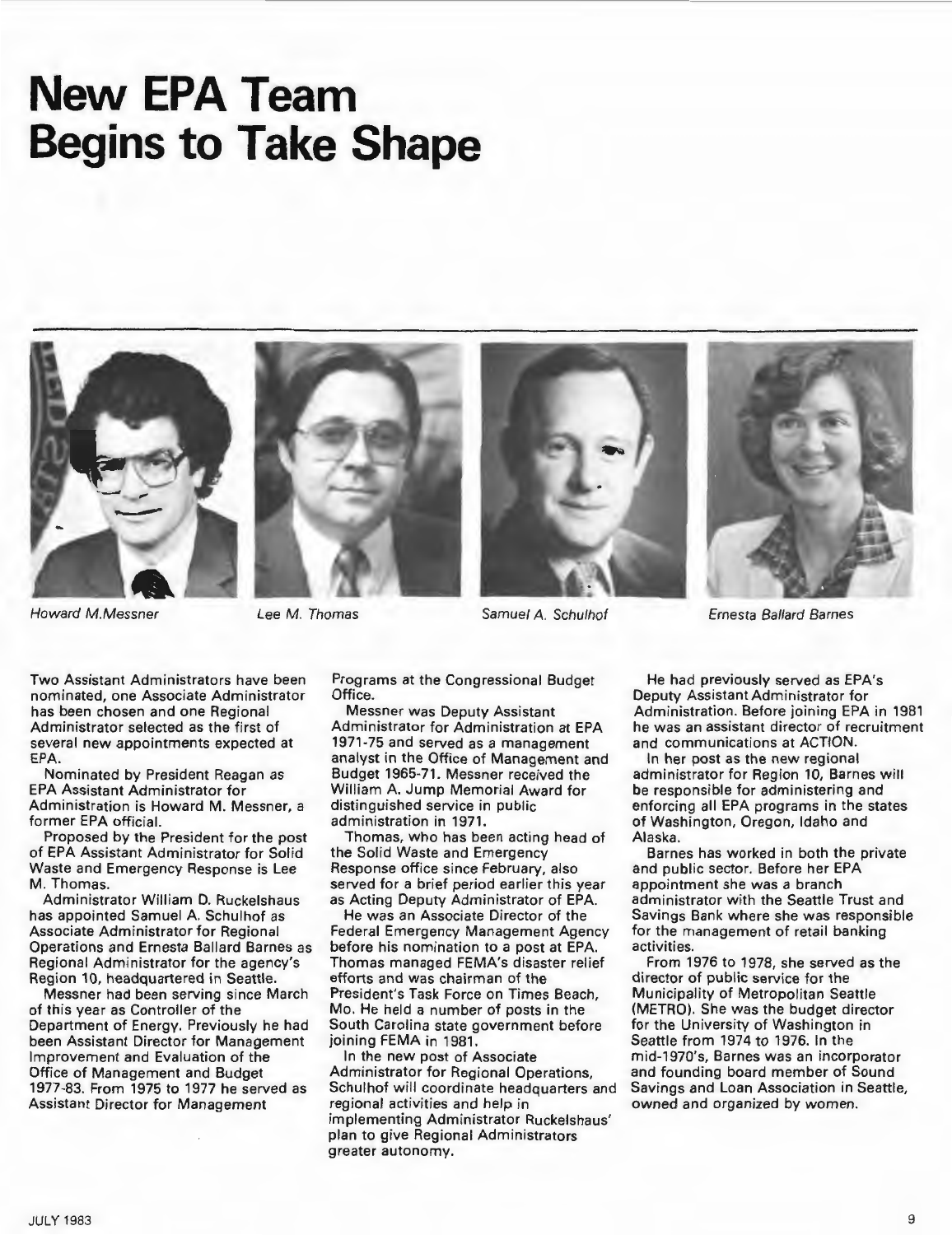# **New EPA Team Begins to Take Shape**

![](_page_10_Picture_1.jpeg)

Howard M.Messner Lee M. Thomas Samuel A. Schulhof

Ernesta Ballard Barnes

Two Assistant Administrators have been nominated, one Associate Administrator has been chosen and one Regional Administrator selected as the first of several new appointments expected at EPA.

Nominated by President Reagan as EPA Assistant Administrator for Administration is Howard M. Messner, a former EPA official.

Proposed by the President for the post of EPA Assistant Administrator for Solid Waste and Emergency Response is Lee M. Thomas.

Administrator William D. Ruckelshaus has appointed Samuel A. Schulhof as Associate Administrator for Regional Operations and Ernesta Ballard Barnes as Regional Administrator for the agency's Region 10, headquartered in Seattle.

Messner had been serving since March of this year as Controller of the Department of Energy. Previously he had been Assistant Director for Management Improvement and Evaluation of the Office of Management and Budget 1977-83. From 1975 to 1977 he served as Assistant Director for Management

Programs at the Congressional Budget Office.

Messner was Deputy Assistant Administrator for Administration at EPA 1971-75 and served as *a* management analyst in the Office of Management and Budget 1965-71. Messner received the William A. Jump Memorial Award for distinguished service in public administration in 1971.

Thomas, who has been acting head of the Solid Waste and Emergency Response office since February, also served for a brief period earlier this year as Acting Deputy Administrator of EPA.

He was an Associate Director of the Federal Emergency Management Agency before his nomination to a post at EPA. Thomas managed FEMA's disaster relief efforts and was chairman of the President's Task Force on Times Beach, Mo. He held a number of posts in the South Carolina state government before joining FEMA in 1981.

In the new post of Associate Administrator for Regional Operations, Schulhof will coordinate headquarters and regional activities and help in implementing Administrator Ruckelshaus' plan to give Regional Administrators greater autonomy.

He had previously served as EPA's Deputy Assistant Administrator for Administration. Before joining EPA in 1981 he was an assistant director of recruitment and communications at ACTION.

In her post as the new regional administrator for Region 10, Barnes will be responsible for administering and enforcing all EPA programs in the states of Washington, Oregon, Idaho and Alaska.

Barnes has worked in both the private and public sector. Before her EPA appointment she was a branch administrator with the Seattle Trust and Savings Bank where she was responsible for the management of retail banking activities.

From 1976 to 1978, she served as the director of public service for the Municipality of Metropolitan Seattle (METRO). She was the budget director for the University of Washington in Seattle from 1974 to 1976. In the mid-1970's, Barnes was an incorporator and founding board member of Sound Savings and Loan Association in Seattle, owned and organized by women.

![](_page_10_Picture_23.jpeg)

![](_page_10_Picture_24.jpeg)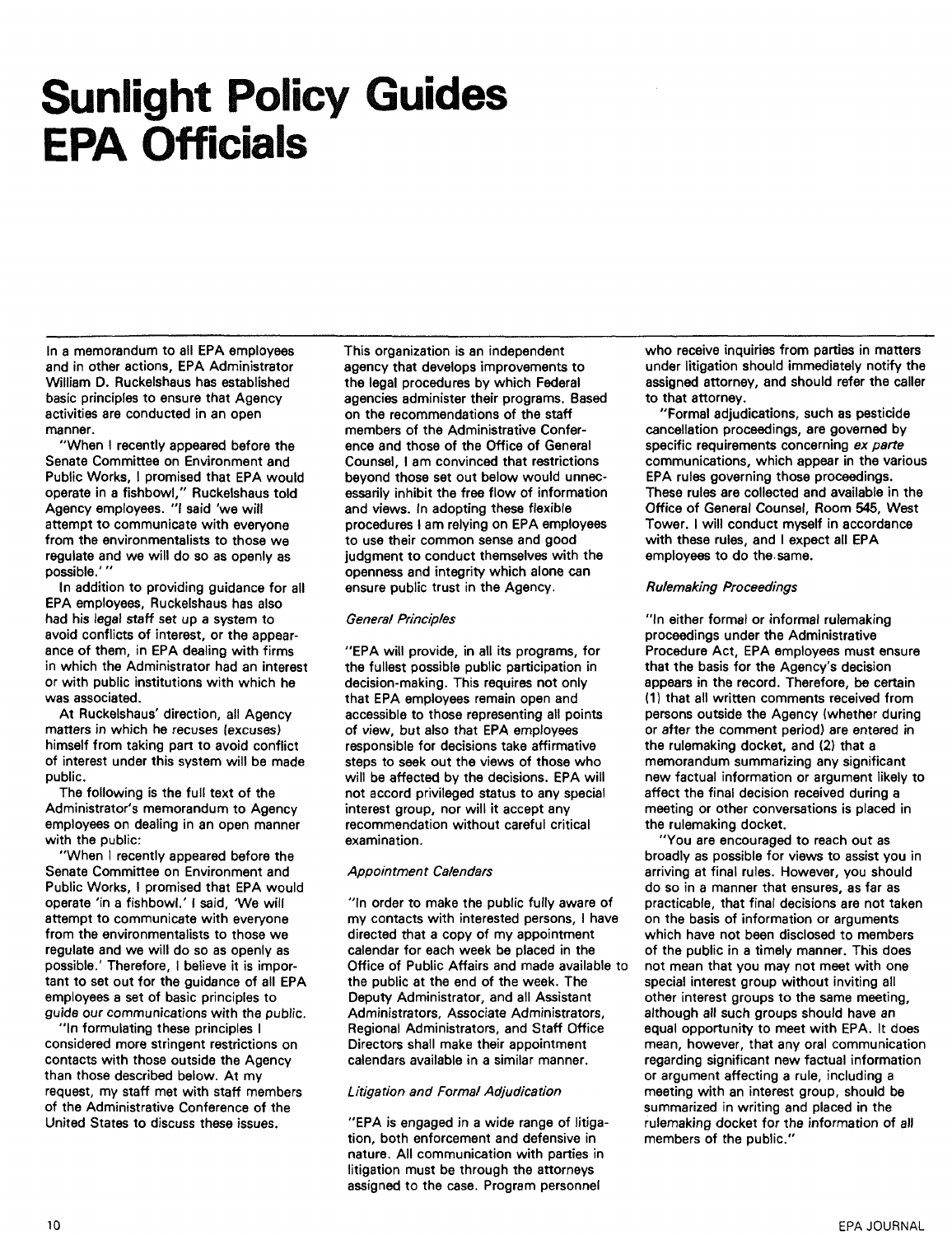# **Sunlight Policy Guides EPA Officials**

In a memorandum to all EPA employees and in other actions, EPA Administrator William D. Ruckelshaus has established basic principles to ensure that Agency activities are conducted in an open manner.

"When I recently appeared before the Senate Committee on Environment and Public Works, I promised that EPA would operate in a fishbowl," Ruckelshaus told Agency employees. "I said 'we will attempt to communicate with everyone from the environmentalists to those we regulate and we will do so as openly as possible.'

In addition to providing guidance for all EPA employees, Ruckelshaus has also had his legal staff set up a system to avoid conflicts of interest, or the appearance of them, in EPA dealing with firms in which the Administrator had an interest or with public institutions with which he was associated.

At Ruckelshaus' direction, all Agency matters in which he recuses (excuses) himself from taking part to avoid conflict of interest under this system will be made public.

The following is the full text of the Administrator's memorandum to Agency employees on dealing in an open manner with the public:

"When I recently appeared before the Senate Committee on Environment and Public Works, I promised that EPA would operate 'in a fishbowl.' I said, 'We will attempt to communicate with everyone from the environmentalists to those we regulate and we will do so as openly as possible.' Therefore, I believe it is important to set out for the guidance of all EPA employees a set of basic principles to guide our communications with the public.

"In formulating these principles I considered more stringent restrictions on contacts with those outside the Agency than those described below. At my request, my staff met with staff members of the Administrative Conference of the United States to discuss these issues.

This organization is an independent agency that develops improvements to the legal procedures by which Federal agencies administer their programs. Based on the recommendations of the staff members of the Administrative Conference and those of the Office of General Counsel, I am convinced that restrictions beyond those set out below would unnecessarily inhibit the free flow of information and views. In adopting these flexible procedures I am relying on EPA employees to use their common sense and good judgment to conduct themselves with the openness and integrity which alone can ensure public trust in the Agency.

#### General Principles

"EPA will provide, in all its programs, for the fullest possible public participation in decision-making. This requires not only that EPA employees remain open and accessible to those representing all points of view, but also that EPA employees responsible for decisions take affirmative steps to seek out the views of those who will be affected by the decisions. EPA will not accord privileged status to any special interest group, nor will it accept any recommendation without careful critical examination.

#### Appointment Calendars

"In order to make the public fully aware of my contacts with interested persons, I have directed that a copy of my appointment calendar for each week be placed in the Office of Public Affairs and made available to the public at the end of the week. The Deputy Administrator, and all Assistant Administrators, Associate Administrators, Regional Administrators, and Staff Office Directors shall make their appointment calendars available in a similar manner.

#### Litigation and Formal Adjudication

"EPA is engaged in a wide range of litigation, both enforcement and defensive in nature. All communication with parties in litigation must be through the attorneys assigned to the case. Program personnel

who receive inquiries from parties in matters under litigation should immediately notify the assigned attorney, and should refer the caller to that attorney.

"Formal adjudications, such as pesticide cancellation proceedings, are governed by specific requirements concerning ex parte communications, which appear in the various EPA rules governing those proceedings. These rules are collected and available in the Office of General Counsel, Room 545, West Tower. I will conduct myself in accordance with these rules, and I expect all EPA employees to do the.same.

#### Rulemsking Proceedings

"In either formal or informal rulemaking proceedings under the Administrative Procedure Act, EPA employees must ensure that the basis for the Agency's decision appears in the record. Therefore, be certain (1) that all written comments received from persons outside the Agency (whether during or after the comment period) are entered in the rulemaking docket, and (2) that a memorandum summarizing any significant new factual information or argument likely to affect the final decision received during a meeting or other conversations is placed in the rulemaking docket.

"You are encouraged to reach out as broadly as possible for views to assist you in arriving at final rules. However, you should do so in a manner that ensures, as far as practicable, that final decisions are not taken on the basis of information or arguments which have not been disclosed to members of the public in a timely manner. This does not mean that you may not meet with one special interest group without inviting all other interest groups to the same meeting, although all such groups should have an equal opportunity to meet with EPA. It does mean, however, that any oral communication regarding significant new factual information or argument affecting a rule, including a meeting with an interest group, should be summarized in writing and placed in the rulemaking docket for the information of all members of the public."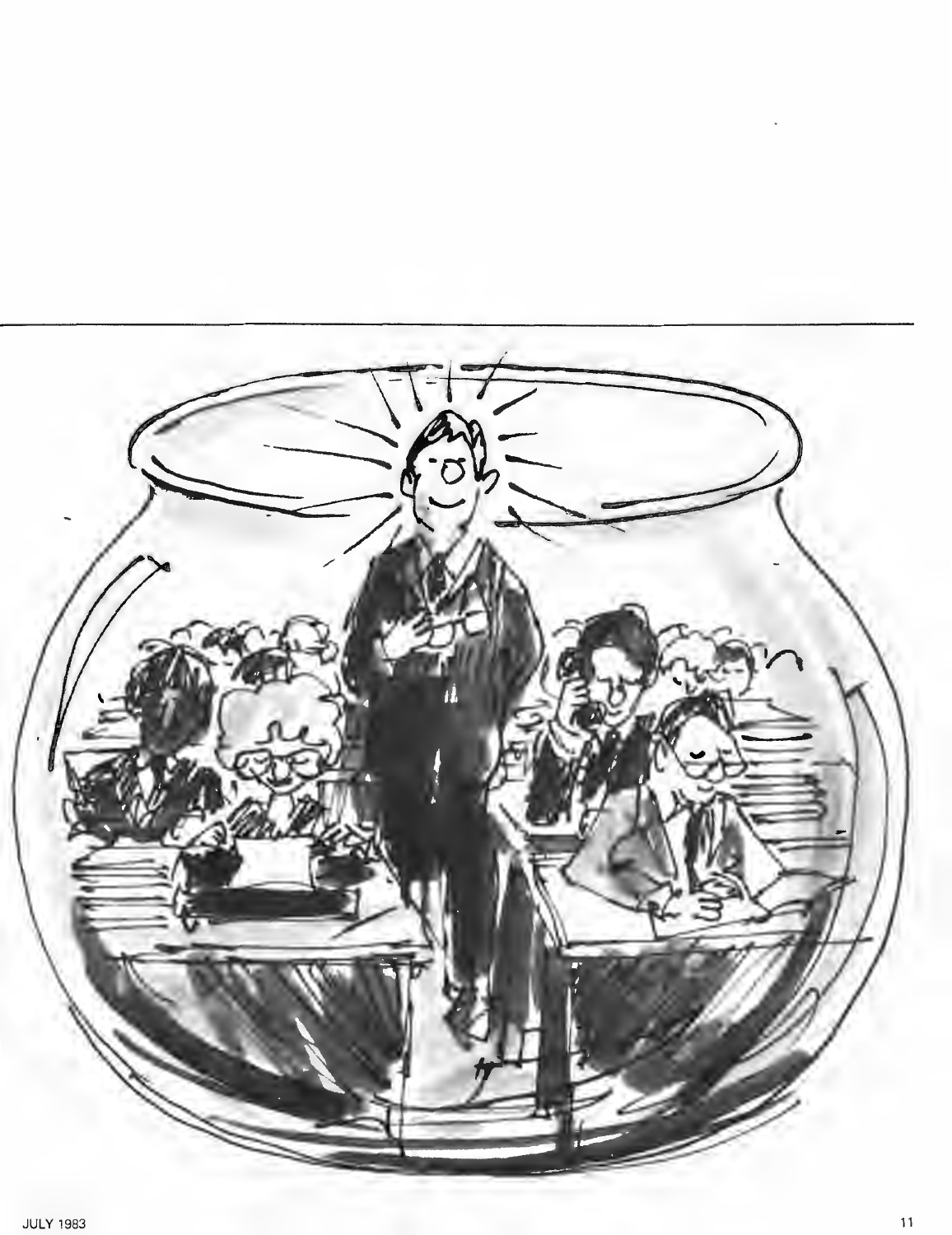![](_page_12_Picture_0.jpeg)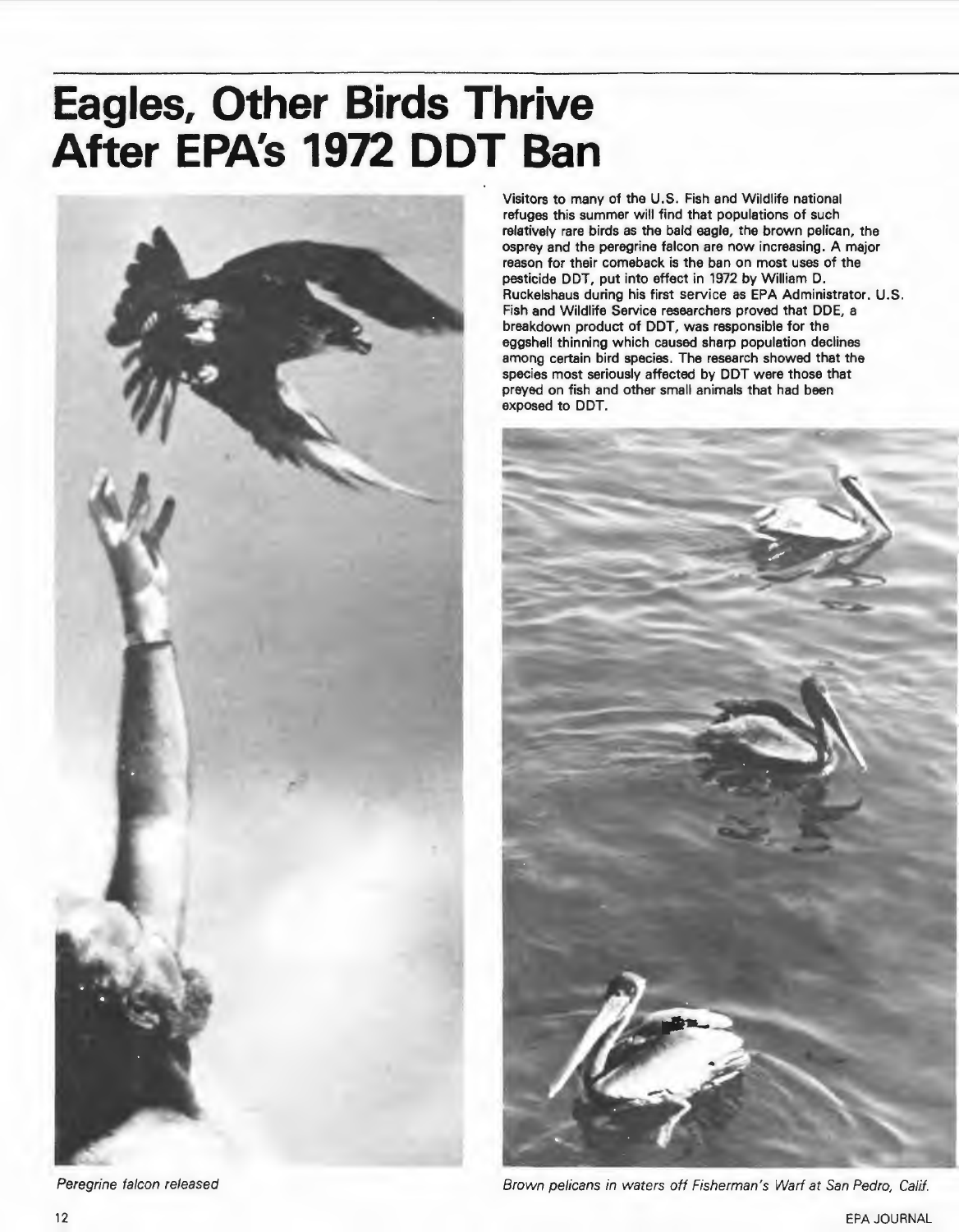# **Eagles, Other Birds Thrive After EPA's 1972 DDT Ban**

![](_page_13_Picture_1.jpeg)

Peregrine falcon released

Visitors to many of the U.S. Fish and Wildlife national refuges this summer will find that populations of such relatively rare birds as the bald eagle, the brown pelican, the osprey and the peregrine falcon are now increasing. A major reason tor their comeback is the ban on most uses of the pesticide DDT, put into effect in 1972 by William D. Ruckelshaus during his first service as EPA Administrator. U.S. Fish and Wildlife Service researchers proved that DOE, a breakdown product of DDT, was responsible for the eggshell thinning which caused sharp population declines among certain bird species. The research showed that the species most seriously affected by DDT were those that preyed on fish and other small animals that had been exposed to DDT.

![](_page_13_Picture_4.jpeg)

Brown pelicans in waters off Fisherman's Warf at San Pedro, Calif.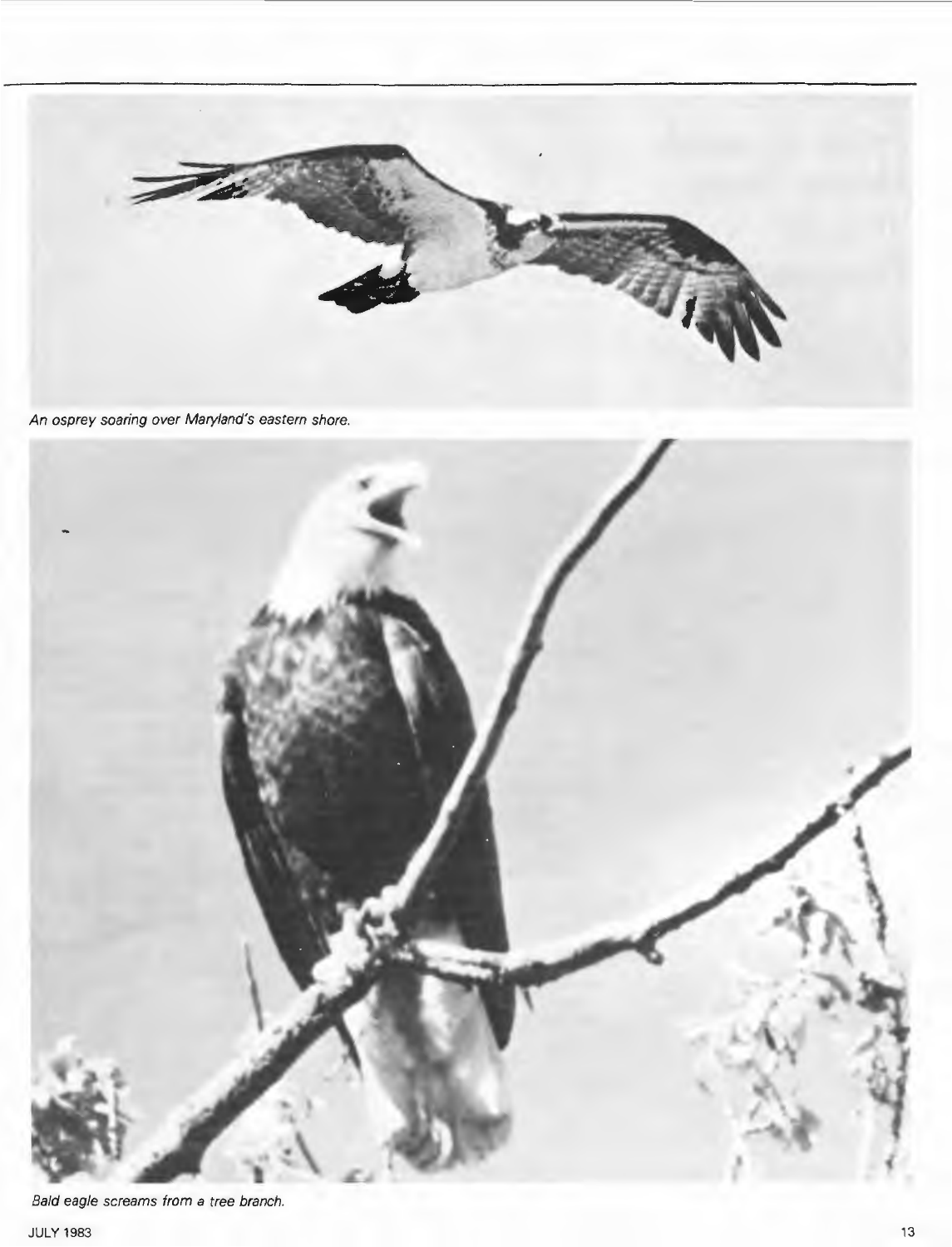![](_page_14_Picture_0.jpeg)

An osprey soaring over Maryland's eastern shore.

![](_page_14_Picture_2.jpeg)

Bald eagle screams from a tree branch.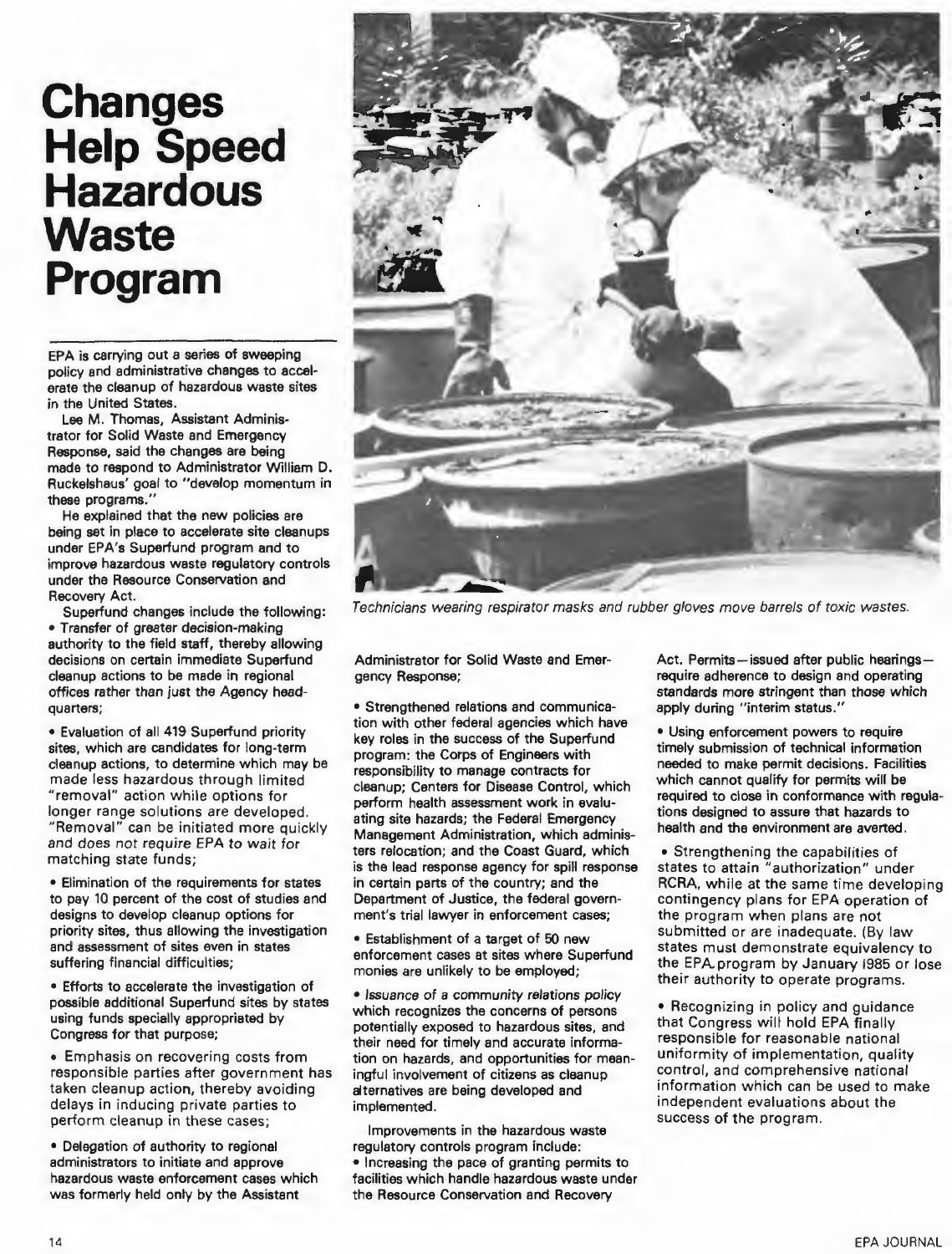### **Changes Help Speed Hazardous Waste Program**

EPA is carrying out a series of sweeping policy and administrative changes to accel· erate the cleanup of hazardous waste sites in the United States.

Lee M. Thomas, Assistant Administrator for Solid Waste and Emergency Response, said the changes are being made to respond to Administrator William D. Ruckelshaus' goal to "develop momentum in these programs."

He explained that the new policies are being set in place to accelerate site cleanups under EPA's Superfund program and to improve hazardous waste regulatory controls under the Resource Conservation and Recovery Act.

Superfund changes include the following: • Transfer of greater decision-making authority to the field staff, thereby allowing decisions on certain immediate Superfund cleanup actions to be made in regional offices rather than just the Agency headquarters;

• Evaluation of all 419 Superfund priority sites, which are candidates for long-term cleanup actions, to determine which may be made less hazardous through limited "removal" action while options for longer range solutions are developed. "Removal" can be initiated more quickly and does not require EPA to wait for matching state funds;

• Elimination of the requirements for states to pay 10 percent of the cost of studies and designs to develop cleanup options for priority sites, thus allowing the investigation and assessment of sites even in states suffering financial difficulties;

• Efforts to accelerate the investigation of possible additional Superfund sites by states using funds specially appropriated by Congress for that purpose;

• Emphasis on recovering costs from responsible parties after government has taken cleanup action, thereby avoiding delays in inducing private parties to perform cleanup in these cases;

• Delegation of authority to regional administrators to initiate and approve hazardous waste enforcement cases which was formerly held only by the Assistant

![](_page_15_Picture_10.jpeg)

Technicians wearing respirator masks and rubber gloves move barrels of toxic wastes.

Administrator for Solid Waste and Emergency Response;

• Strengthened relations and communication with other federal agencies which have key roles in the success of the Superfund program: the Corps of Engineers with responsibility to manage contracts for cleanup; Centers for Disease Control, which perform health assessment work in evaluating site hazards; the Federal Emergency Management Administration, which administers relocation; and the Coast Guard, which is the lead response agency for spill response in certain parts of the country; and the Department of Justice, the federal government's trial lawyer in enforcement cases;

• Establishment of a target of 50 new enforcement cases at sites where Superfund monies are unlikely to be employed;

• Issuance of a community relations policy which recognizes the concerns of persons potentially exposed to hazardous sites, and their need for timely and accurate information on hazards, and opportunities for meaningful involvement of citizens as cleanup alternatives are being developed and implemented.

Improvements in the hazardous waste regulatory controls program include: • Increasing the pace of granting permits to facilities which handle hazardous waste under the Resource Conservation and Recovery

Act. Permits-issued after public hearingsrequire adherence to design and operating standards more stringent than those which apply during "interim status."

• Using enforcement powers to require timely submission of technical information needed to make permit decisions. Facilities which cannot qualify for permits will be required to close in conformance with regulations designed to assure that hazards to health and the environment are averted.

• Strengthening the capabilities of states to attain "authorization" under RCRA, while at the same time developing contingency plans for EPA operation of the program when plans are not submitted or are inadequate. (By law states must demonstrate equivalency to the EPA program by January 1985 or lose their authority to operate programs.

• Recognizing in policy and guidance that Congress will hold EPA finally responsible for reasonable national uniformity of implementation, quality control, and comprehensive national information which can be used to make independent evaluations about the success of the program.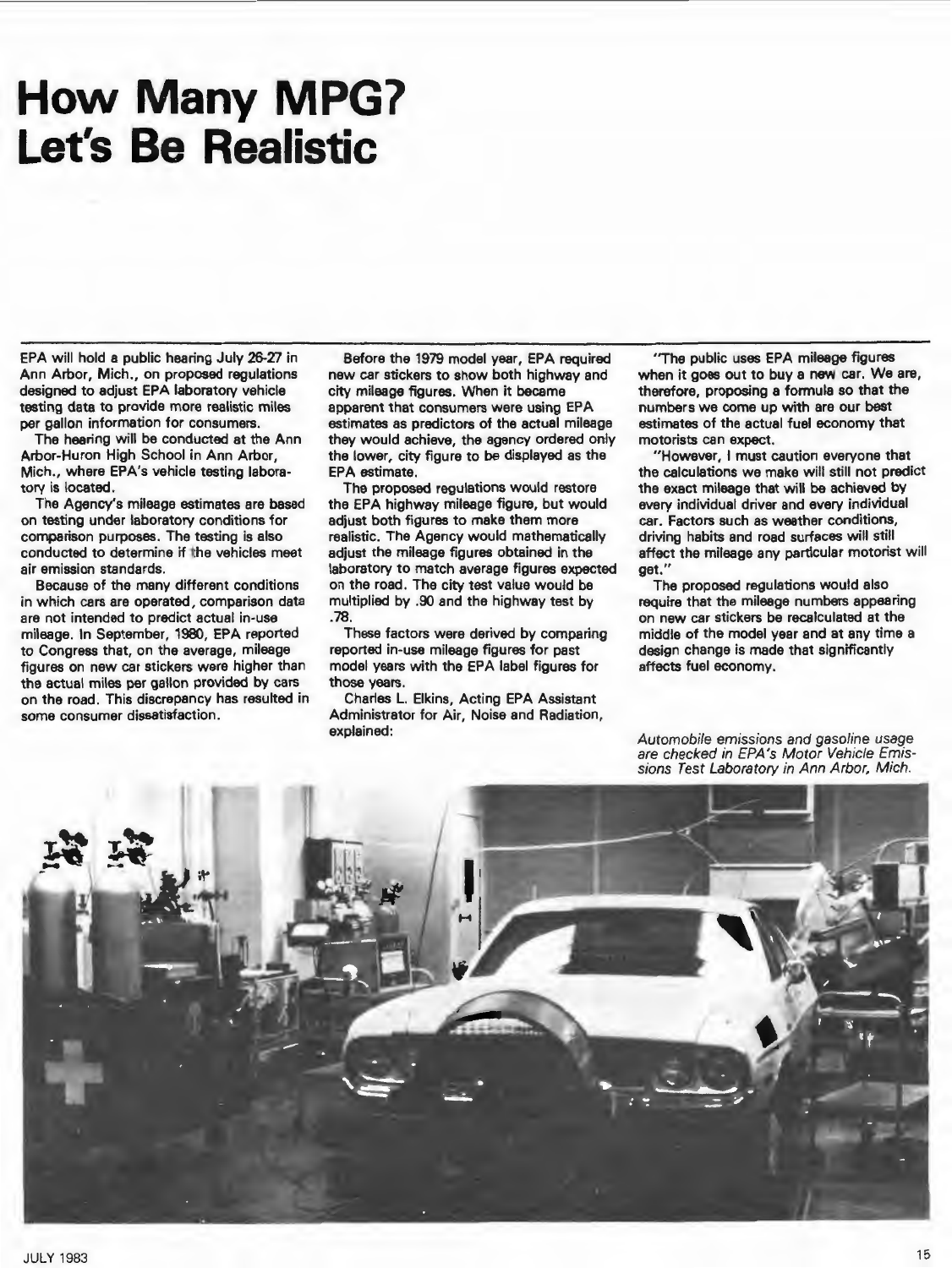## **How Many MPG? Let's Be Realistic**

EPA will hold a public hearing July 26-27 in Ann Arbor, Mich., on proposed regulations designed to adjust EPA laboratory vehicle testing data to provide more realistic miles per gallon information for consumers.

The hearing will be conducted at the Ann Arbor-Huron High School in Ann Arbor, Mich., where EPA's vehicle testing laboratory is located.

The Agency's mileage estimates are based on testing under laboratory conditions for comparison purposes. The testing is also conducted to determine if the vehicles meet air emission standards.

Because of the many different conditions in which cars are operated, comparison data are not intended to predict actual in-use mileage. In September, 1980, EPA reported to Congress that, on the average, mileage figures on new car stickers were higher than the actual miles per gallon provided by cars on the road. This discrepancy has resulted in some consumer dissatisfaction.

Before the 1979 model year, EPA required new car stickers to show both highway and city mileage figures. When it became apparent that consumers were using EPA estimates as predictors of the actual mileage they would achieve, the agency ordered only the lower, city figure to be displayed as the EPA estimate.

The proposed regulations would restore the EPA highway mileage figure, but would adjust both figures to make them more realistic. The Agency would mathematically adjust the mileage figures obtained in the laboratory to match average figures expected on the road. The city test value would be multiplied by .90 and the highway test by .78.

These factors were derived by comparing reported in-use mileage figures for past model years with the EPA label figures for those years.

Charles L. Elkins, Acting EPA Assistant Administrator for Air, Noise and Radiation, explained:

"The public uses EPA mileage figures when it goes out to buy a new car. We are, therefore, proposing a formula so that the numbers we come up with are our best estimates of the actual fuel economy that motorists can expect.

"However, I must caution everyone that the calculations we make will still not predict the exact mileage that will be achieved by every individual driver and every individual car. Factors such as weather conditions, driving habits and roed surfaces will still affect the mileage any particular motorist will get."

The proposed regulations would also require that the mileage numbers appearing on new car stickers be recalculated at the middle of the model year and at any time a design change is made that significantly affects fuel economy.

Automobile emissions and gasoline usage are checked in EPA 's Motor Vehicle Emissions Test Laboratory in Ann Arbor, Mich.

![](_page_16_Picture_13.jpeg)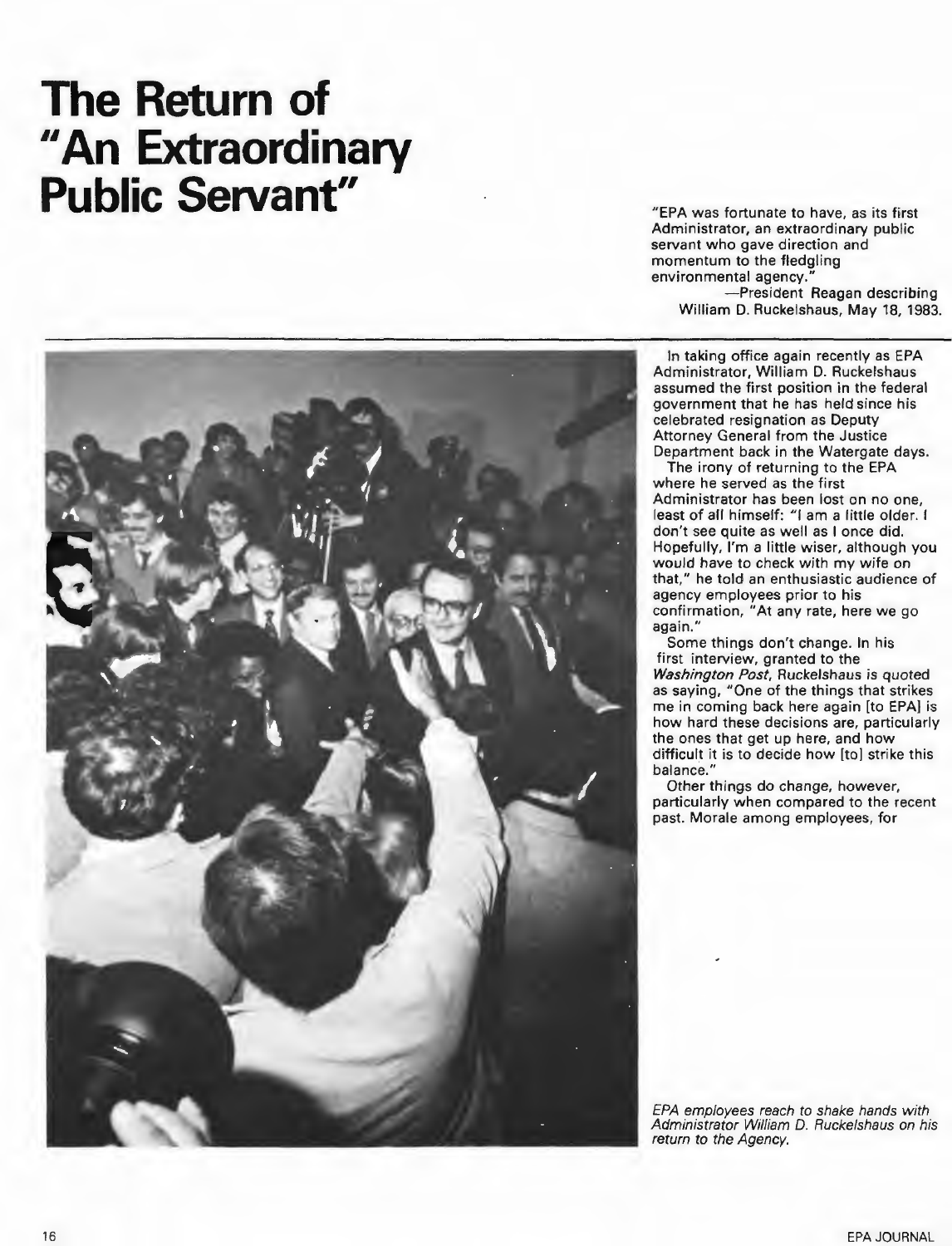## **The Return of**  <sup>11</sup>**An Extraordinary Public Servant''**

"EPA was fortunate to have, as its first Administrator, an extraordinary public servant who gave direction and momentum to the fledgling environmental agency.

-President Reagan describing William 0. Ruckelshaus, May 18, 1983.

ln taking office again recently as EPA Administrator, William D. Ruckelshaus assumed the first position in the federal government that he has held since his celebrated resignation as Deputy Attorney General from the Justice Department back in the Watergate days.

The irony of returning to the EPA where he served as the first Administrator has been lost on no one, least of all himself: "I am a little older. I don't see quite as well as I once did. Hopefully, I'm a little wiser, although you would have to check with my wife on that," he told an enthusiastic audience of agency employees prior to his confirmation, "At any rate, here we go again."

Some things don't change. In his first interview, granted to the Washington Post, Ruckelshaus is quoted as saying, "One of the things that strikes me in coming back here again [to EPA) is how hard these decisions are, particularly the ones that get up here, and how difficult it is to decide how [to) strike this balance."

Other things do change, however, particularly when compared to the recent past. Morale among employees, for

EPA employees reach to shake hands with Administrator Wilfiam D. Ruckelshaus on his return to the Agency.

![](_page_17_Picture_9.jpeg)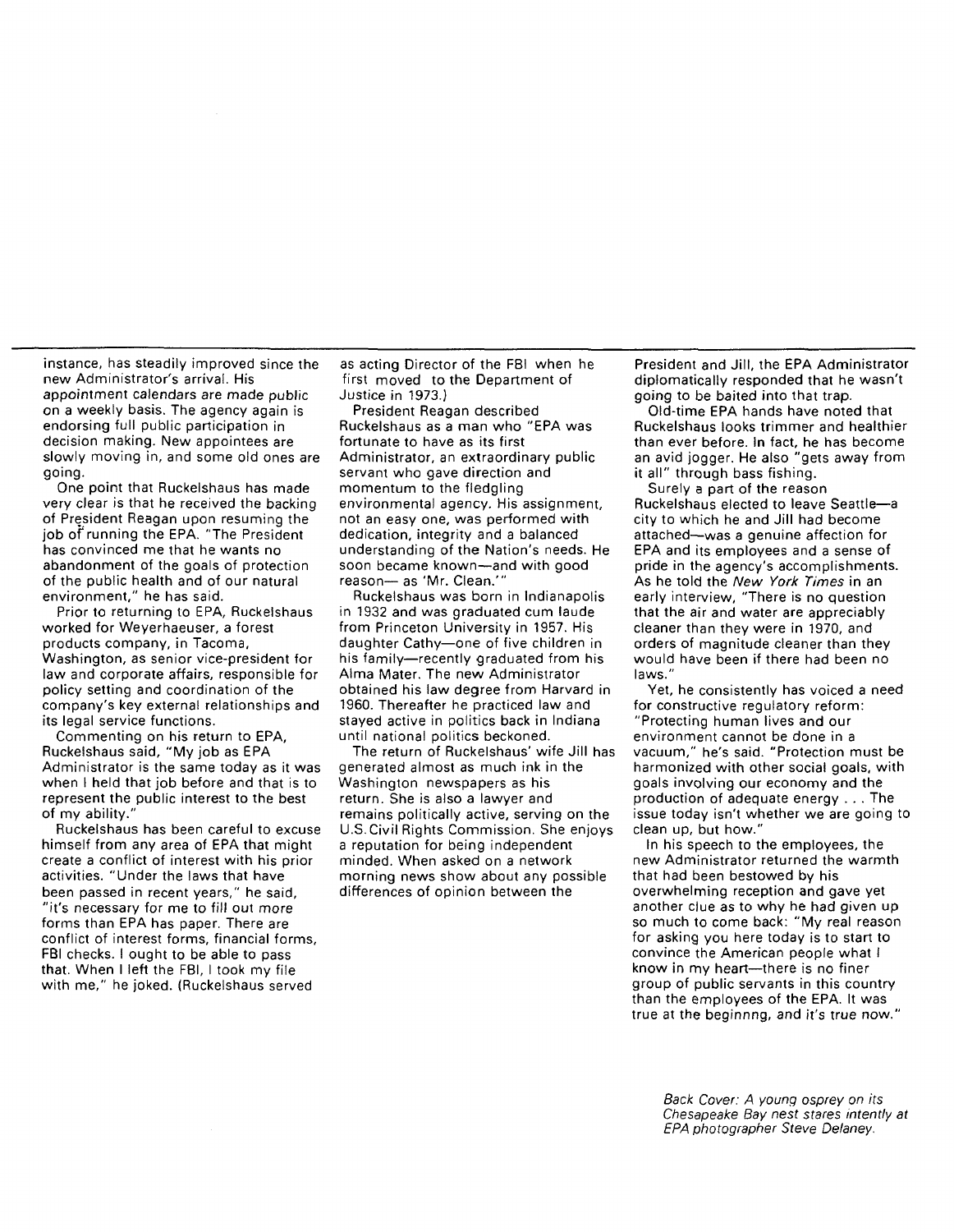instance, has steadily improved since the new Administrator's arrival. His appointment calendars are made public on a weekly basis. The agency again is endorsing full public participation in decision making. New appointees are slowly moving in, and some old ones are going.

One point that Ruckelshaus has made very clear is that he received the backing of President Reagan upon resuming the job of running the EPA. "The President has convinced me that he wants no abandonment of the goals of protection of the public health and of our natural environment," he has said.

Prior to returning to EPA, Ruckelshaus worked for Weyerhaeuser, a forest products company, in Tacoma, Washington, as senior vice-president for law and corporate affairs, responsible for policy setting and coordination of the company's key external relationships and its legal service functions.

Commenting on his return to EPA, Ruckelshaus said, "My job as EPA Administrator is the same today as it was when I held that job before and that is to represent the public interest to the best of my ability.

Ruckelshaus has been careful to excuse himself from any area of EPA that might create a conflict of interest with his prior activities. "Under the laws that have been passed in recent years," he said, "it's necessary for me to fill out more forms than EPA has paper. There are conflict of interest forms, financial forms, FBI checks. I ought to be able to pass that. When I left the FBI, I took my file with me," he joked. (Ruckelshaus served

as acting Director of the FBI when he first moved to the Department of Justice in 1973.)

President Reagan described Ruckelshaus as a man who "EPA was fortunate to have as its first Administrator, an extraordinary public servant who gave direction and momentum to the fledgling environmental agency. His assignment, not an easy one, was performed with dedication, integrity and a balanced understanding of the Nation's needs. He soon became known-and with good reason- as 'Mr. Clean.'"

Ruckelshaus was born in Indianapolis in 1932 and was graduated cum laude from Princeton University in 1957. His daughter Cathy-one of five children in his family-recently graduated from his Alma Mater. The new Administrator obtained his law degree from Harvard in 1960. Thereafter he practiced law and stayed active in politics back in Indiana until national politics beckoned.

The return of Ruckelshaus' wife Jill has generated almost as much ink in the Washington newspapers as his return. She is also a lawyer and remains politically active, serving on the U.S. Civil Rights Commission. She enjoys a reputation for being independent minded. When asked on a network morning news show about any possible differences of opinion between the

President and Jill, the EPA Administrator diplomatically responded that he wasn't going to be baited into that trap.

Old-time EPA hands have noted that Ruckelshaus looks trimmer and healthier than ever before. In fact, he has become an avid jogger. He also "gets away from it all" through bass fishing.

Surely a part of the reason Ruckelshaus elected to leave Seattle-a city to which he and Jill had become attached-was a genuine affection for EPA and its employees and a sense of pride in the agency's accomplishments. As he told the New York Times in an early interview, "There is no question that the air and water are appreciably cleaner than they were in 1970, and orders of magnitude cleaner than they would have been if there had been no laws."

Yet, he consistently has voiced a need for constructive regulatory reform: "Protecting human lives and our environment cannot be done in a vacuum," he's said. "Protection must be harmonized with other social goals, with goals involving our economy and the production of adequate energy ... The issue today isn't whether we are going to clean up, but how."

In his speech to the employees, the new Administrator returned the warmth that had been bestowed by his overwhelming reception and gave yet another clue as to why he had given up so much to come back: "My real reason for asking you here today is to start to convince the American people what I know in my heart-there is no finer group of public servants in this country than the employees of the EPA. It was true at the beginnng, and it's true now."

> Back Cover: A young osprey on its Chesapeake Bay nest stares intently at EPA photographer Steve Delaney.